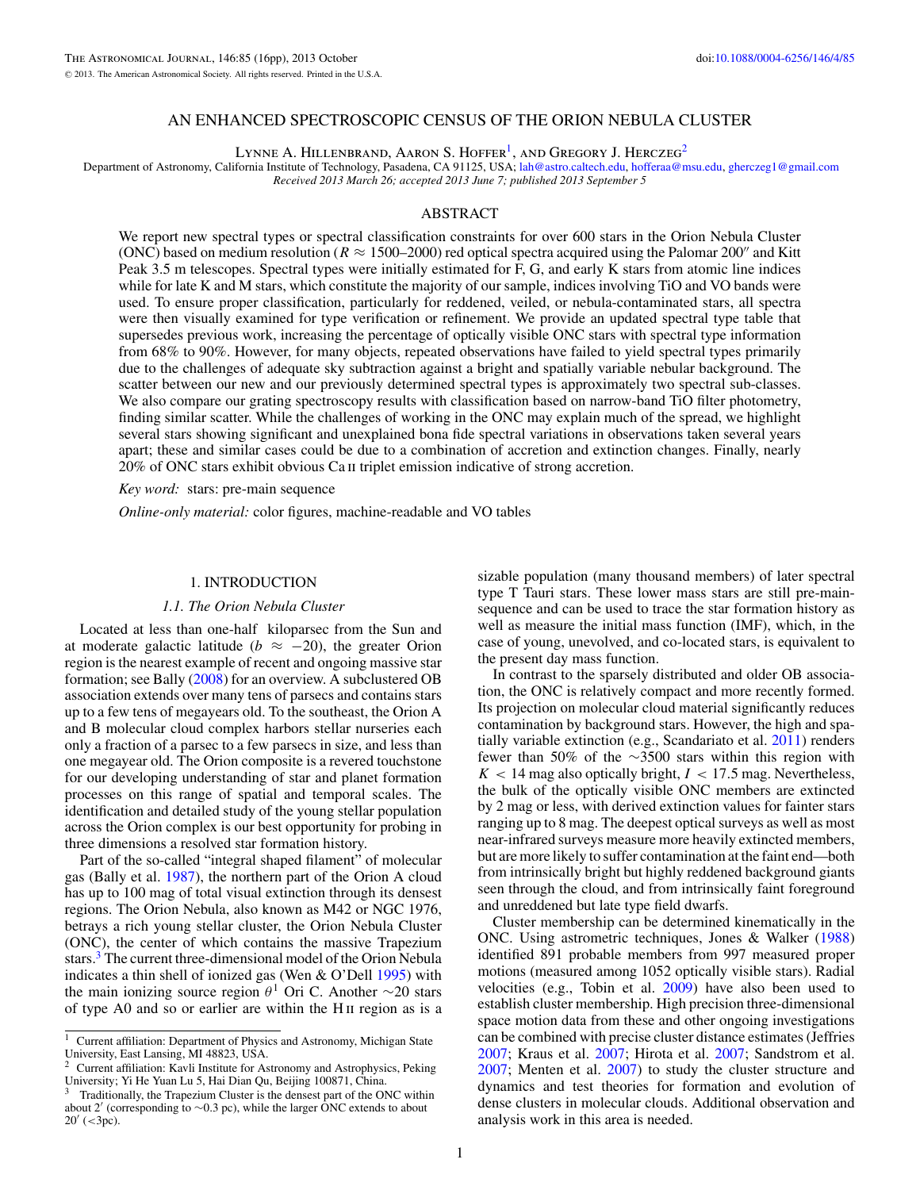# AN ENHANCED SPECTROSCOPIC CENSUS OF THE ORION NEBULA CLUSTER

LYNNE A. HILLENBRAND, AARON S. HOFFER<sup>1</sup>, AND GREGORY J. HERCZEG<sup>2</sup>

Department of Astronomy, California Institute of Technology, Pasadena, CA 91125, USA; [lah@astro.caltech.edu,](mailto:lah@astro.caltech.edu) [hofferaa@msu.edu,](mailto:hofferaa@msu.edu) [gherczeg1@gmail.com](mailto:gherczeg1@gmail.com) *Received 2013 March 26; accepted 2013 June 7; published 2013 September 5*

# ABSTRACT

We report new spectral types or spectral classification constraints for over 600 stars in the Orion Nebula Cluster (ONC) based on medium resolution ( $R \approx 1500-2000$ ) red optical spectra acquired using the Palomar 200<sup>"</sup> and Kitt Peak 3.5 m telescopes. Spectral types were initially estimated for F, G, and early K stars from atomic line indices while for late K and M stars, which constitute the majority of our sample, indices involving TiO and VO bands were used. To ensure proper classification, particularly for reddened, veiled, or nebula-contaminated stars, all spectra were then visually examined for type verification or refinement. We provide an updated spectral type table that supersedes previous work, increasing the percentage of optically visible ONC stars with spectral type information from 68% to 90%. However, for many objects, repeated observations have failed to yield spectral types primarily due to the challenges of adequate sky subtraction against a bright and spatially variable nebular background. The scatter between our new and our previously determined spectral types is approximately two spectral sub-classes. We also compare our grating spectroscopy results with classification based on narrow-band TiO filter photometry, finding similar scatter. While the challenges of working in the ONC may explain much of the spread, we highlight several stars showing significant and unexplained bona fide spectral variations in observations taken several years apart; these and similar cases could be due to a combination of accretion and extinction changes. Finally, nearly 20% of ONC stars exhibit obvious Ca ii triplet emission indicative of strong accretion.

*Key word:* stars: pre-main sequence

*Online-only material:* color figures, machine-readable and VO tables

#### 1. INTRODUCTION

#### *1.1. The Orion Nebula Cluster*

Located at less than one-half kiloparsec from the Sun and at moderate galactic latitude ( $b \approx -20$ ), the greater Orion region is the nearest example of recent and ongoing massive star formation; see Bally [\(2008\)](#page-14-0) for an overview. A subclustered OB association extends over many tens of parsecs and contains stars up to a few tens of megayears old. To the southeast, the Orion A and B molecular cloud complex harbors stellar nurseries each only a fraction of a parsec to a few parsecs in size, and less than one megayear old. The Orion composite is a revered touchstone for our developing understanding of star and planet formation processes on this range of spatial and temporal scales. The identification and detailed study of the young stellar population across the Orion complex is our best opportunity for probing in three dimensions a resolved star formation history.

Part of the so-called "integral shaped filament" of molecular gas (Bally et al. [1987\)](#page-14-0), the northern part of the Orion A cloud has up to 100 mag of total visual extinction through its densest regions. The Orion Nebula, also known as M42 or NGC 1976, betrays a rich young stellar cluster, the Orion Nebula Cluster (ONC), the center of which contains the massive Trapezium stars.<sup>3</sup> The current three-dimensional model of the Orion Nebula indicates a thin shell of ionized gas (Wen & O'Dell [1995\)](#page-15-0) with the main ionizing source region  $\theta$ <sup>1</sup> Ori C. Another ∼20 stars of type A0 and so or earlier are within the H ii region as is a

sizable population (many thousand members) of later spectral type T Tauri stars. These lower mass stars are still pre-mainsequence and can be used to trace the star formation history as well as measure the initial mass function (IMF), which, in the case of young, unevolved, and co-located stars, is equivalent to the present day mass function.

In contrast to the sparsely distributed and older OB association, the ONC is relatively compact and more recently formed. Its projection on molecular cloud material significantly reduces contamination by background stars. However, the high and spatially variable extinction (e.g., Scandariato et al. [2011\)](#page-15-0) renders fewer than 50% of the ∼3500 stars within this region with  $K$  < 14 mag also optically bright,  $I$  < 17.5 mag. Nevertheless, the bulk of the optically visible ONC members are extincted by 2 mag or less, with derived extinction values for fainter stars ranging up to 8 mag. The deepest optical surveys as well as most near-infrared surveys measure more heavily extincted members, but are more likely to suffer contamination at the faint end—both from intrinsically bright but highly reddened background giants seen through the cloud, and from intrinsically faint foreground and unreddened but late type field dwarfs.

Cluster membership can be determined kinematically in the ONC. Using astrometric techniques, Jones & Walker [\(1988\)](#page-15-0) identified 891 probable members from 997 measured proper motions (measured among 1052 optically visible stars). Radial velocities (e.g., Tobin et al. [2009\)](#page-15-0) have also been used to establish cluster membership. High precision three-dimensional space motion data from these and other ongoing investigations can be combined with precise cluster distance estimates (Jeffries [2007;](#page-15-0) Kraus et al. [2007;](#page-15-0) Hirota et al. [2007;](#page-15-0) Sandstrom et al. [2007;](#page-15-0) Menten et al. [2007\)](#page-15-0) to study the cluster structure and dynamics and test theories for formation and evolution of dense clusters in molecular clouds. Additional observation and analysis work in this area is needed.

<sup>&</sup>lt;sup>1</sup> Current affiliation: Department of Physics and Astronomy, Michigan State University, East Lansing, MI 48823, USA.

<sup>&</sup>lt;sup>2</sup> Current affiliation: Kavli Institute for Astronomy and Astrophysics, Peking University; Yi He Yuan Lu 5, Hai Dian Qu, Beijing 100871, China.

<sup>3</sup> Traditionally, the Trapezium Cluster is the densest part of the ONC within about 2' (corresponding to  $\sim$ 0.3 pc), while the larger ONC extends to about 20 (*<*3pc).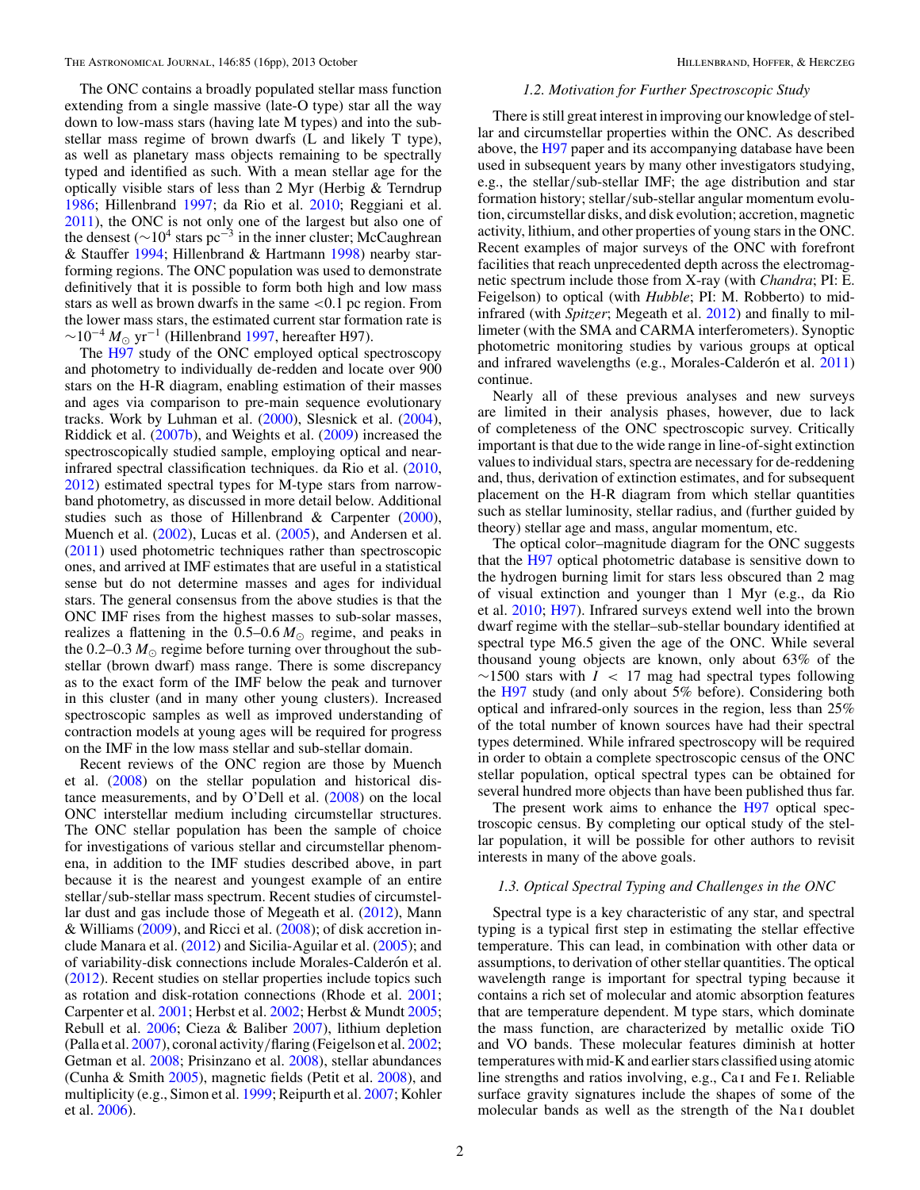The ONC contains a broadly populated stellar mass function extending from a single massive (late-O type) star all the way down to low-mass stars (having late M types) and into the substellar mass regime of brown dwarfs (L and likely T type), as well as planetary mass objects remaining to be spectrally typed and identified as such. With a mean stellar age for the optically visible stars of less than 2 Myr (Herbig & Terndrup [1986;](#page-14-0) Hillenbrand [1997;](#page-15-0) da Rio et al. [2010;](#page-14-0) Reggiani et al. [2011\)](#page-15-0), the ONC is not only one of the largest but also one of the densest ( $∼10<sup>4</sup>$  stars pc<sup>−3</sup> in the inner cluster; McCaughrean & Stauffer [1994;](#page-15-0) Hillenbrand & Hartmann [1998\)](#page-15-0) nearby starforming regions. The ONC population was used to demonstrate definitively that it is possible to form both high and low mass stars as well as brown dwarfs in the same *<*0.1 pc region. From the lower mass stars, the estimated current star formation rate is  $\sim$ 10<sup>-4</sup>  $M_{\odot}$  yr<sup>-1</sup> (Hillenbrand [1997,](#page-15-0) hereafter H97).

The [H97](#page-15-0) study of the ONC employed optical spectroscopy and photometry to individually de-redden and locate over 900 stars on the H-R diagram, enabling estimation of their masses and ages via comparison to pre-main sequence evolutionary tracks. Work by Luhman et al. [\(2000\)](#page-15-0), Slesnick et al. [\(2004\)](#page-15-0), Riddick et al. [\(2007b\)](#page-15-0), and Weights et al. [\(2009\)](#page-15-0) increased the spectroscopically studied sample, employing optical and nearinfrared spectral classification techniques. da Rio et al. [\(2010,](#page-14-0) [2012\)](#page-14-0) estimated spectral types for M-type stars from narrowband photometry, as discussed in more detail below. Additional studies such as those of Hillenbrand & Carpenter [\(2000\)](#page-15-0), Muench et al. [\(2002\)](#page-15-0), Lucas et al. [\(2005\)](#page-15-0), and Andersen et al. [\(2011\)](#page-14-0) used photometric techniques rather than spectroscopic ones, and arrived at IMF estimates that are useful in a statistical sense but do not determine masses and ages for individual stars. The general consensus from the above studies is that the ONC IMF rises from the highest masses to sub-solar masses, realizes a flattening in the  $0.5{\text -}0.6 M_{\odot}$  regime, and peaks in the  $0.2-0.3$   $M_{\odot}$  regime before turning over throughout the substellar (brown dwarf) mass range. There is some discrepancy as to the exact form of the IMF below the peak and turnover in this cluster (and in many other young clusters). Increased spectroscopic samples as well as improved understanding of contraction models at young ages will be required for progress on the IMF in the low mass stellar and sub-stellar domain.

Recent reviews of the ONC region are those by Muench et al. [\(2008\)](#page-15-0) on the stellar population and historical distance measurements, and by O'Dell et al. [\(2008\)](#page-15-0) on the local ONC interstellar medium including circumstellar structures. The ONC stellar population has been the sample of choice for investigations of various stellar and circumstellar phenomena, in addition to the IMF studies described above, in part because it is the nearest and youngest example of an entire stellar*/*sub-stellar mass spectrum. Recent studies of circumstellar dust and gas include those of Megeath et al. [\(2012\)](#page-15-0), Mann & Williams [\(2009\)](#page-15-0), and Ricci et al. [\(2008\)](#page-15-0); of disk accretion include Manara et al. [\(2012\)](#page-15-0) and Sicilia-Aguilar et al. [\(2005\)](#page-15-0); and of variability-disk connections include Morales-Calderón et al. [\(2012\)](#page-15-0). Recent studies on stellar properties include topics such as rotation and disk-rotation connections (Rhode et al. [2001;](#page-15-0) Carpenter et al. [2001;](#page-14-0) Herbst et al. [2002;](#page-14-0) Herbst & Mundt [2005;](#page-15-0) Rebull et al. [2006;](#page-15-0) Cieza & Baliber [2007\)](#page-14-0), lithium depletion (Palla et al. [2007\)](#page-15-0), coronal activity*/*flaring (Feigelson et al. [2002;](#page-14-0) Getman et al. [2008;](#page-14-0) Prisinzano et al. [2008\)](#page-15-0), stellar abundances (Cunha & Smith [2005\)](#page-14-0), magnetic fields (Petit et al. [2008\)](#page-15-0), and multiplicity (e.g., Simon et al. [1999;](#page-15-0) Reipurth et al. [2007;](#page-15-0) Kohler et al. [2006\)](#page-15-0).

#### *1.2. Motivation for Further Spectroscopic Study*

There is still great interest in improving our knowledge of stellar and circumstellar properties within the ONC. As described above, the [H97](#page-15-0) paper and its accompanying database have been used in subsequent years by many other investigators studying, e.g., the stellar*/*sub-stellar IMF; the age distribution and star formation history; stellar*/*sub-stellar angular momentum evolution, circumstellar disks, and disk evolution; accretion, magnetic activity, lithium, and other properties of young stars in the ONC. Recent examples of major surveys of the ONC with forefront facilities that reach unprecedented depth across the electromagnetic spectrum include those from X-ray (with *Chandra*; PI: E. Feigelson) to optical (with *Hubble*; PI: M. Robberto) to midinfrared (with *Spitzer*; Megeath et al. [2012\)](#page-15-0) and finally to millimeter (with the SMA and CARMA interferometers). Synoptic photometric monitoring studies by various groups at optical and infrared wavelengths (e.g., Morales-Calderón et al. [2011\)](#page-15-0) continue.

Nearly all of these previous analyses and new surveys are limited in their analysis phases, however, due to lack of completeness of the ONC spectroscopic survey. Critically important is that due to the wide range in line-of-sight extinction values to individual stars, spectra are necessary for de-reddening and, thus, derivation of extinction estimates, and for subsequent placement on the H-R diagram from which stellar quantities such as stellar luminosity, stellar radius, and (further guided by theory) stellar age and mass, angular momentum, etc.

The optical color–magnitude diagram for the ONC suggests that the [H97](#page-15-0) optical photometric database is sensitive down to the hydrogen burning limit for stars less obscured than 2 mag of visual extinction and younger than 1 Myr (e.g., da Rio et al. [2010;](#page-14-0) [H97\)](#page-15-0). Infrared surveys extend well into the brown dwarf regime with the stellar–sub-stellar boundary identified at spectral type M6.5 given the age of the ONC. While several thousand young objects are known, only about 63% of the ∼1500 stars with *I <* 17 mag had spectral types following the [H97](#page-15-0) study (and only about 5% before). Considering both optical and infrared-only sources in the region, less than 25% of the total number of known sources have had their spectral types determined. While infrared spectroscopy will be required in order to obtain a complete spectroscopic census of the ONC stellar population, optical spectral types can be obtained for several hundred more objects than have been published thus far.

The present work aims to enhance the [H97](#page-15-0) optical spectroscopic census. By completing our optical study of the stellar population, it will be possible for other authors to revisit interests in many of the above goals.

#### *1.3. Optical Spectral Typing and Challenges in the ONC*

Spectral type is a key characteristic of any star, and spectral typing is a typical first step in estimating the stellar effective temperature. This can lead, in combination with other data or assumptions, to derivation of other stellar quantities. The optical wavelength range is important for spectral typing because it contains a rich set of molecular and atomic absorption features that are temperature dependent. M type stars, which dominate the mass function, are characterized by metallic oxide TiO and VO bands. These molecular features diminish at hotter temperatures with mid-K and earlier stars classified using atomic line strengths and ratios involving, e.g., Ca i and Fe i. Reliable surface gravity signatures include the shapes of some of the molecular bands as well as the strength of the Na<sub>I</sub> doublet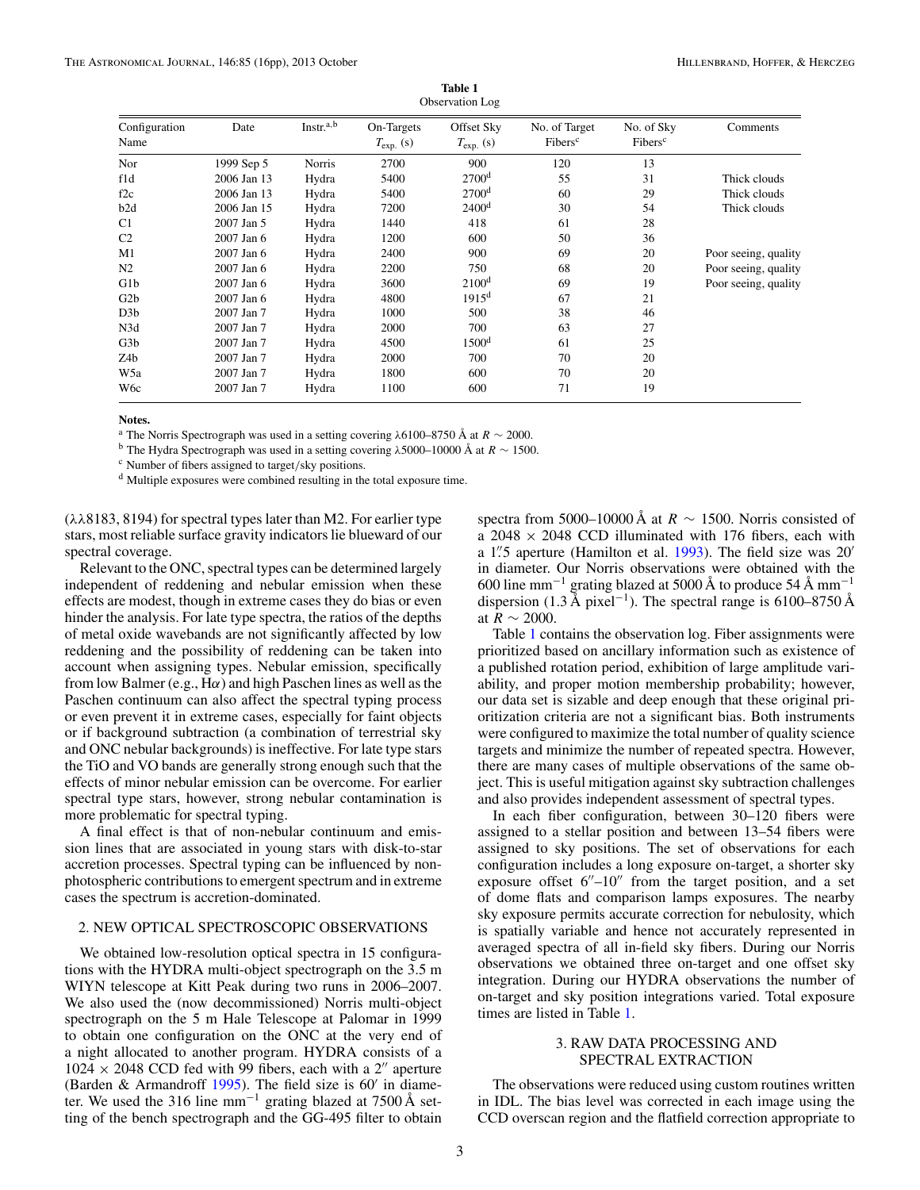<span id="page-2-0"></span>

|                       |             |                       |                                  | OUSCLVALION LOL                  |                                      |                                   |                      |
|-----------------------|-------------|-----------------------|----------------------------------|----------------------------------|--------------------------------------|-----------------------------------|----------------------|
| Configuration<br>Name | Date        | Instr. <sup>a,b</sup> | On-Targets<br>$T_{\rm exp.}$ (s) | Offset Sky<br>$T_{\rm exp.}$ (s) | No. of Target<br>Fibers <sup>c</sup> | No. of Sky<br>Fibers <sup>c</sup> | Comments             |
| Nor                   | 1999 Sep 5  | Norris                | 2700                             | 900                              | 120                                  | 13                                |                      |
| f1d                   | 2006 Jan 13 | Hydra                 | 5400                             | 2700 <sup>d</sup>                | 55                                   | 31                                | Thick clouds         |
| f2c                   | 2006 Jan 13 | Hydra                 | 5400                             | 2700 <sup>d</sup>                | 60                                   | 29                                | Thick clouds         |
| b2d                   | 2006 Jan 15 | Hydra                 | 7200                             | 2400 <sup>d</sup>                | 30                                   | 54                                | Thick clouds         |
| C1                    | 2007 Jan 5  | Hydra                 | 1440                             | 418                              | 61                                   | 28                                |                      |
| C2                    | 2007 Jan 6  | Hydra                 | 1200                             | 600                              | 50                                   | 36                                |                      |
| M1                    | 2007 Jan 6  | Hydra                 | 2400                             | 900                              | 69                                   | 20                                | Poor seeing, quality |
| N2                    | 2007 Jan 6  | Hydra                 | 2200                             | 750                              | 68                                   | 20                                | Poor seeing, quality |
| G1b                   | 2007 Jan 6  | Hydra                 | 3600                             | 2100 <sup>d</sup>                | 69                                   | 19                                | Poor seeing, quality |
| G2b                   | 2007 Jan 6  | Hydra                 | 4800                             | $1915^d$                         | 67                                   | 21                                |                      |
| D3b                   | 2007 Jan 7  | Hydra                 | 1000                             | 500                              | 38                                   | 46                                |                      |
| N3d                   | 2007 Jan 7  | Hydra                 | 2000                             | 700                              | 63                                   | 27                                |                      |
| G3b                   | 2007 Jan 7  | Hydra                 | 4500                             | 1500 <sup>d</sup>                | 61                                   | 25                                |                      |
| Z4b                   | 2007 Jan 7  | Hydra                 | 2000                             | 700                              | 70                                   | 20                                |                      |
| W5a                   | 2007 Jan 7  | Hydra                 | 1800                             | 600                              | 70                                   | 20                                |                      |
| W6c                   | 2007 Jan 7  | Hydra                 | 1100                             | 600                              | 71                                   | 19                                |                      |

Observation Log

**Table 1**

**Notes.**

<sup>a</sup> The Norris Spectrograph was used in a setting covering  $\lambda$ 6100–8750 Å at  $R \sim 2000$ .<br><sup>b</sup> The Hydra Spectrograph was used in a setting covering  $\lambda$ 5000–10000 Å at  $R \sim 1500$ .<br><sup>c</sup> Number of fibers assigned to target/s

<sup>d</sup> Multiple exposures were combined resulting in the total exposure time.

(*λλ*8183, 8194) for spectral types later than M2. For earlier type stars, most reliable surface gravity indicators lie blueward of our spectral coverage.

Relevant to the ONC, spectral types can be determined largely independent of reddening and nebular emission when these effects are modest, though in extreme cases they do bias or even hinder the analysis. For late type spectra, the ratios of the depths of metal oxide wavebands are not significantly affected by low reddening and the possibility of reddening can be taken into account when assigning types. Nebular emission, specifically from low Balmer (e.g., H*α*) and high Paschen lines as well as the Paschen continuum can also affect the spectral typing process or even prevent it in extreme cases, especially for faint objects or if background subtraction (a combination of terrestrial sky and ONC nebular backgrounds) is ineffective. For late type stars the TiO and VO bands are generally strong enough such that the effects of minor nebular emission can be overcome. For earlier spectral type stars, however, strong nebular contamination is more problematic for spectral typing.

A final effect is that of non-nebular continuum and emission lines that are associated in young stars with disk-to-star accretion processes. Spectral typing can be influenced by nonphotospheric contributions to emergent spectrum and in extreme cases the spectrum is accretion-dominated.

# 2. NEW OPTICAL SPECTROSCOPIC OBSERVATIONS

We obtained low-resolution optical spectra in 15 configurations with the HYDRA multi-object spectrograph on the 3.5 m WIYN telescope at Kitt Peak during two runs in 2006–2007. We also used the (now decommissioned) Norris multi-object spectrograph on the 5 m Hale Telescope at Palomar in 1999 to obtain one configuration on the ONC at the very end of a night allocated to another program. HYDRA consists of a  $1024 \times 2048$  CCD fed with 99 fibers, each with a 2" aperture (Barden & Armandroff  $1995$ ). The field size is  $60'$  in diameter. We used the 316 line mm−<sup>1</sup> grating blazed at 7500 Å setting of the bench spectrograph and the GG-495 filter to obtain spectra from 5000–10000 Å at  $R \sim 1500$ . Norris consisted of a  $2048 \times 2048$  CCD illuminated with 176 fibers, each with a 1*.* 5 aperture (Hamilton et al. [1993\)](#page-14-0). The field size was 20 in diameter. Our Norris observations were obtained with the 600 line mm<sup>-1</sup> grating blazed at 5000 Å to produce 54 Å mm<sup>-1</sup> dispersion (1.3 Å pixel<sup>-1</sup>). The spectral range is 6100–8750 Å at  $R \sim 2000$ .

Table 1 contains the observation log. Fiber assignments were prioritized based on ancillary information such as existence of a published rotation period, exhibition of large amplitude variability, and proper motion membership probability; however, our data set is sizable and deep enough that these original prioritization criteria are not a significant bias. Both instruments were configured to maximize the total number of quality science targets and minimize the number of repeated spectra. However, there are many cases of multiple observations of the same object. This is useful mitigation against sky subtraction challenges and also provides independent assessment of spectral types.

In each fiber configuration, between 30–120 fibers were assigned to a stellar position and between 13–54 fibers were assigned to sky positions. The set of observations for each configuration includes a long exposure on-target, a shorter sky exposure offset  $6''-10''$  from the target position, and a set of dome flats and comparison lamps exposures. The nearby sky exposure permits accurate correction for nebulosity, which is spatially variable and hence not accurately represented in averaged spectra of all in-field sky fibers. During our Norris observations we obtained three on-target and one offset sky integration. During our HYDRA observations the number of on-target and sky position integrations varied. Total exposure times are listed in Table 1.

# 3. RAW DATA PROCESSING AND SPECTRAL EXTRACTION

The observations were reduced using custom routines written in IDL. The bias level was corrected in each image using the CCD overscan region and the flatfield correction appropriate to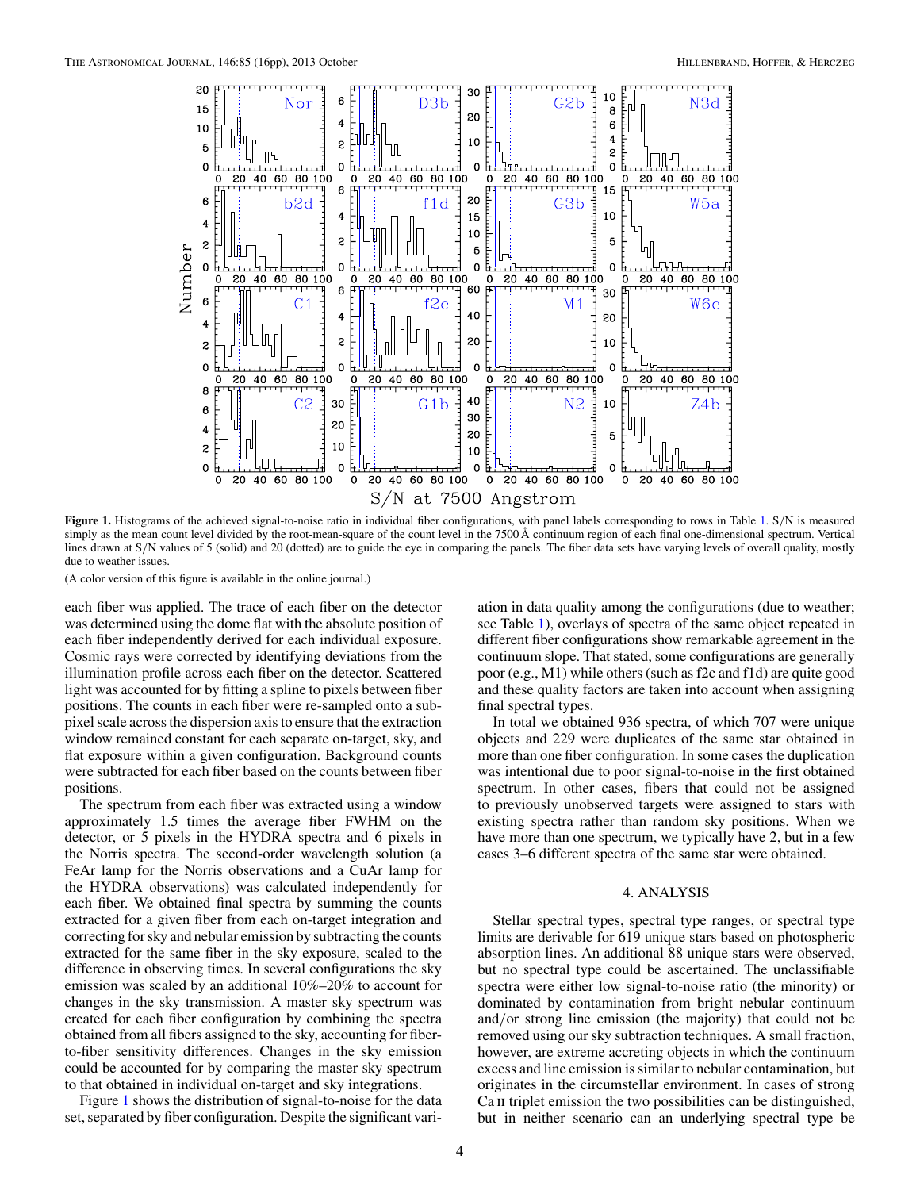

**Figure 1.** Histograms of the achieved signal-to-noise ratio in individual fiber configurations, with panel labels corresponding to rows in Table [1.](#page-2-0) S*/*N is measured simply as the mean count level divided by the root-mean-square of the count level in the 7500 Å continuum region of each final one-dimensional spectrum. Vertical lines drawn at S/N values of 5 (solid) and 20 (dotted) are to guide the eye in comparing the panels. The fiber data sets have varying levels of overall quality, mostly due to weather issues.

each fiber was applied. The trace of each fiber on the detector was determined using the dome flat with the absolute position of each fiber independently derived for each individual exposure. Cosmic rays were corrected by identifying deviations from the illumination profile across each fiber on the detector. Scattered light was accounted for by fitting a spline to pixels between fiber positions. The counts in each fiber were re-sampled onto a subpixel scale across the dispersion axis to ensure that the extraction window remained constant for each separate on-target, sky, and flat exposure within a given configuration. Background counts were subtracted for each fiber based on the counts between fiber positions.

The spectrum from each fiber was extracted using a window approximately 1.5 times the average fiber FWHM on the detector, or 5 pixels in the HYDRA spectra and 6 pixels in the Norris spectra. The second-order wavelength solution (a FeAr lamp for the Norris observations and a CuAr lamp for the HYDRA observations) was calculated independently for each fiber. We obtained final spectra by summing the counts extracted for a given fiber from each on-target integration and correcting for sky and nebular emission by subtracting the counts extracted for the same fiber in the sky exposure, scaled to the difference in observing times. In several configurations the sky emission was scaled by an additional 10%–20% to account for changes in the sky transmission. A master sky spectrum was created for each fiber configuration by combining the spectra obtained from all fibers assigned to the sky, accounting for fiberto-fiber sensitivity differences. Changes in the sky emission could be accounted for by comparing the master sky spectrum to that obtained in individual on-target and sky integrations.

Figure 1 shows the distribution of signal-to-noise for the data set, separated by fiber configuration. Despite the significant variation in data quality among the configurations (due to weather; see Table [1\)](#page-2-0), overlays of spectra of the same object repeated in different fiber configurations show remarkable agreement in the continuum slope. That stated, some configurations are generally poor (e.g., M1) while others (such as f2c and f1d) are quite good and these quality factors are taken into account when assigning final spectral types.

In total we obtained 936 spectra, of which 707 were unique objects and 229 were duplicates of the same star obtained in more than one fiber configuration. In some cases the duplication was intentional due to poor signal-to-noise in the first obtained spectrum. In other cases, fibers that could not be assigned to previously unobserved targets were assigned to stars with existing spectra rather than random sky positions. When we have more than one spectrum, we typically have 2, but in a few cases 3–6 different spectra of the same star were obtained.

# 4. ANALYSIS

Stellar spectral types, spectral type ranges, or spectral type limits are derivable for 619 unique stars based on photospheric absorption lines. An additional 88 unique stars were observed, but no spectral type could be ascertained. The unclassifiable spectra were either low signal-to-noise ratio (the minority) or dominated by contamination from bright nebular continuum and*/*or strong line emission (the majority) that could not be removed using our sky subtraction techniques. A small fraction, however, are extreme accreting objects in which the continuum excess and line emission is similar to nebular contamination, but originates in the circumstellar environment. In cases of strong Ca II triplet emission the two possibilities can be distinguished, but in neither scenario can an underlying spectral type be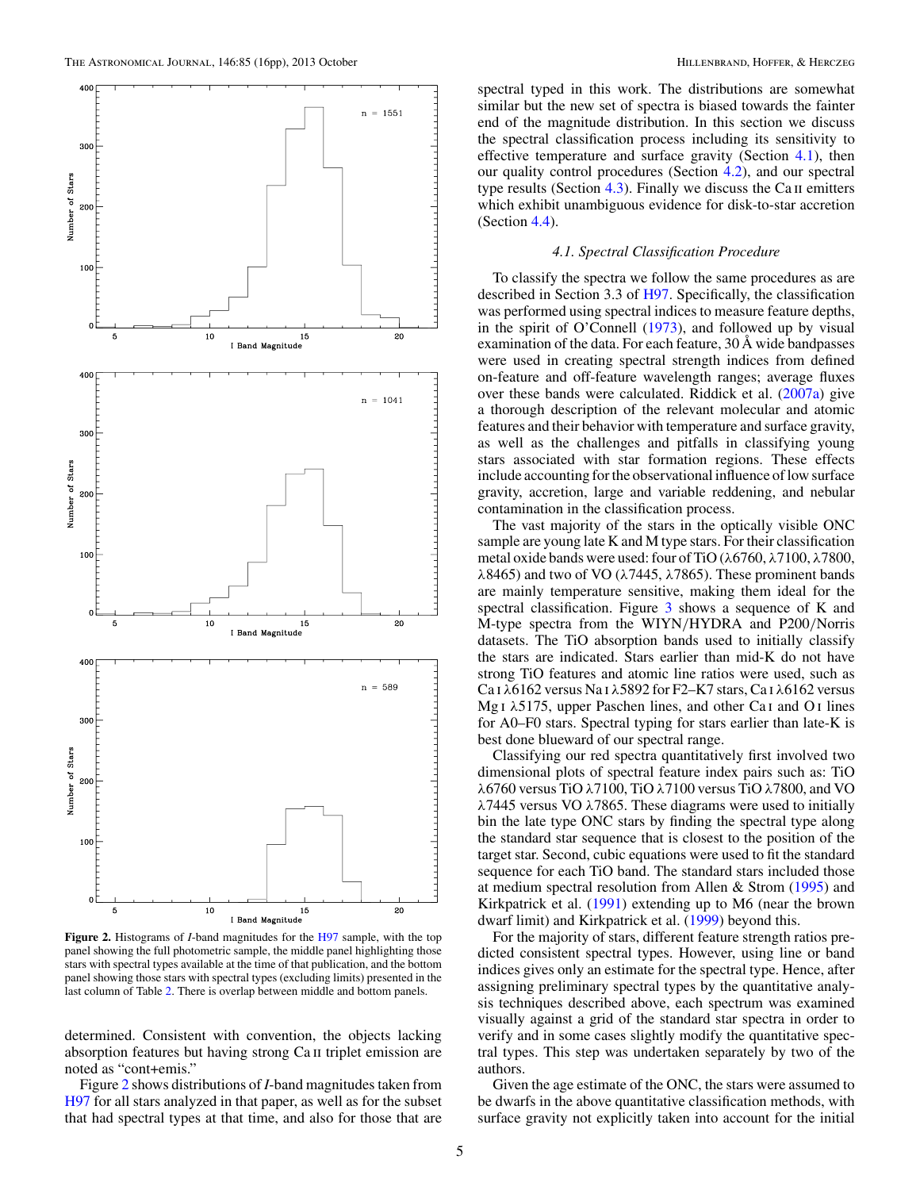

**Figure 2.** Histograms of *I*-band magnitudes for the [H97](#page-15-0) sample, with the top panel showing the full photometric sample, the middle panel highlighting those stars with spectral types available at the time of that publication, and the bottom panel showing those stars with spectral types (excluding limits) presented in the last column of Table [2.](#page-7-0) There is overlap between middle and bottom panels.

determined. Consistent with convention, the objects lacking absorption features but having strong Ca ii triplet emission are noted as "cont+emis."

Figure 2 shows distributions of *I*-band magnitudes taken from [H97](#page-15-0) for all stars analyzed in that paper, as well as for the subset that had spectral types at that time, and also for those that are

spectral typed in this work. The distributions are somewhat similar but the new set of spectra is biased towards the fainter end of the magnitude distribution. In this section we discuss the spectral classification process including its sensitivity to effective temperature and surface gravity (Section 4.1), then our quality control procedures (Section [4.2\)](#page-5-0), and our spectral type results (Section  $4.3$ ). Finally we discuss the Ca II emitters which exhibit unambiguous evidence for disk-to-star accretion (Section [4.4\)](#page-7-0).

#### *4.1. Spectral Classification Procedure*

To classify the spectra we follow the same procedures as are described in Section 3.3 of [H97.](#page-15-0) Specifically, the classification was performed using spectral indices to measure feature depths, in the spirit of O'Connell [\(1973\)](#page-15-0), and followed up by visual examination of the data. For each feature, 30 Å wide bandpasses were used in creating spectral strength indices from defined on-feature and off-feature wavelength ranges; average fluxes over these bands were calculated. Riddick et al. [\(2007a\)](#page-15-0) give a thorough description of the relevant molecular and atomic features and their behavior with temperature and surface gravity, as well as the challenges and pitfalls in classifying young stars associated with star formation regions. These effects include accounting for the observational influence of low surface gravity, accretion, large and variable reddening, and nebular contamination in the classification process.

The vast majority of the stars in the optically visible ONC sample are young late K and M type stars. For their classification metal oxide bands were used: four of TiO (*λ*6760, *λ*7100, *λ*7800, *λ*8465) and two of VO (*λ*7445, *λ*7865). These prominent bands are mainly temperature sensitive, making them ideal for the spectral classification. Figure [3](#page-5-0) shows a sequence of K and M-type spectra from the WIYN*/*HYDRA and P200*/*Norris datasets. The TiO absorption bands used to initially classify the stars are indicated. Stars earlier than mid-K do not have strong TiO features and atomic line ratios were used, such as Ca i *λ*6162 versus Na i *λ*5892 for F2–K7 stars, Ca i *λ*6162 versus Mg i *λ*5175, upper Paschen lines, and other Ca i and O i lines for A0–F0 stars. Spectral typing for stars earlier than late-K is best done blueward of our spectral range.

Classifying our red spectra quantitatively first involved two dimensional plots of spectral feature index pairs such as: TiO *λ*6760 versus TiO *λ*7100, TiO *λ*7100 versus TiO *λ*7800, and VO *λ*7445 versus VO *λ*7865. These diagrams were used to initially bin the late type ONC stars by finding the spectral type along the standard star sequence that is closest to the position of the target star. Second, cubic equations were used to fit the standard sequence for each TiO band. The standard stars included those at medium spectral resolution from Allen & Strom [\(1995\)](#page-14-0) and Kirkpatrick et al. [\(1991\)](#page-15-0) extending up to M6 (near the brown dwarf limit) and Kirkpatrick et al. [\(1999\)](#page-15-0) beyond this.

For the majority of stars, different feature strength ratios predicted consistent spectral types. However, using line or band indices gives only an estimate for the spectral type. Hence, after assigning preliminary spectral types by the quantitative analysis techniques described above, each spectrum was examined visually against a grid of the standard star spectra in order to verify and in some cases slightly modify the quantitative spectral types. This step was undertaken separately by two of the authors.

Given the age estimate of the ONC, the stars were assumed to be dwarfs in the above quantitative classification methods, with surface gravity not explicitly taken into account for the initial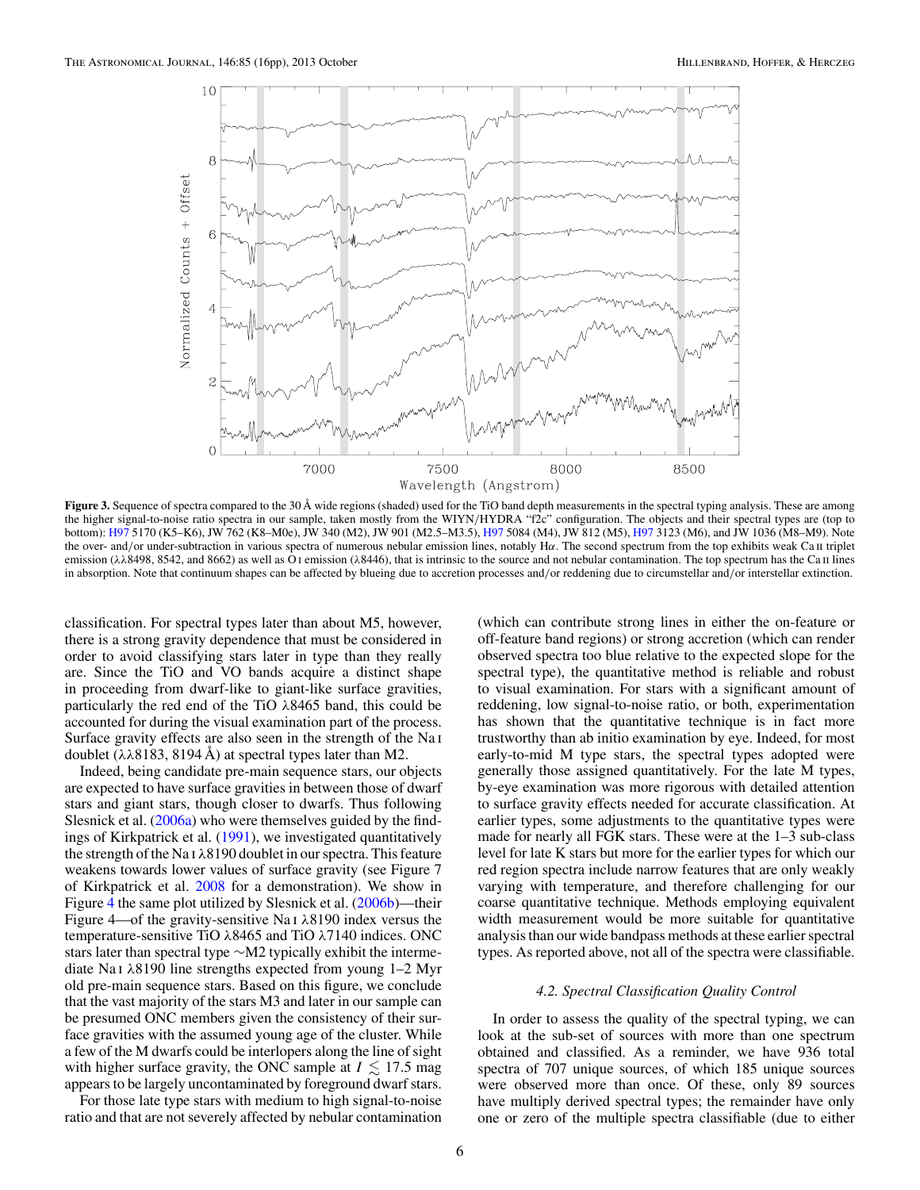<span id="page-5-0"></span>

Figure 3. Sequence of spectra compared to the 30 Å wide regions (shaded) used for the TiO band depth measurements in the spectral typing analysis. These are among the higher signal-to-noise ratio spectra in our sample, taken mostly from the WIYN*/*HYDRA "f2c" configuration. The objects and their spectral types are (top to bottom): [H97](#page-15-0) 5170 (K5–K6), JW 762 (K8–M0e), JW 340 (M2), JW 901 (M2.5–M3.5), [H97](#page-15-0) 5084 (M4), JW 812 (M5), [H97](#page-15-0) 3123 (M6), and JW 1036 (M8–M9). Note the over- and/or under-subtraction in various spectra of numerous nebular emission lines, notably Ηα. The second spectrum from the top exhibits weak Ca **II** triplet emission ( $\lambda\lambda 8498$ , 8542, and 8662) as well as O<sub>I</sub> emission ( $\lambda 8446$ ), that is intrinsic to the source and not nebular contamination. The top spectrum has the Ca II lines in absorption. Note that continuum shapes can be affected by blueing due to accretion processes and*/*or reddening due to circumstellar and*/*or interstellar extinction.

classification. For spectral types later than about M5, however, there is a strong gravity dependence that must be considered in order to avoid classifying stars later in type than they really are. Since the TiO and VO bands acquire a distinct shape in proceeding from dwarf-like to giant-like surface gravities, particularly the red end of the TiO *λ*8465 band, this could be accounted for during the visual examination part of the process. Surface gravity effects are also seen in the strength of the Na i doublet (*λλ*8183, 8194 Å) at spectral types later than M2.

Indeed, being candidate pre-main sequence stars, our objects are expected to have surface gravities in between those of dwarf stars and giant stars, though closer to dwarfs. Thus following Slesnick et al. [\(2006a\)](#page-15-0) who were themselves guided by the findings of Kirkpatrick et al. [\(1991\)](#page-15-0), we investigated quantitatively the strength of the Na i *λ*8190 doublet in our spectra. This feature weakens towards lower values of surface gravity (see Figure 7 of Kirkpatrick et al. [2008](#page-15-0) for a demonstration). We show in Figure [4](#page-6-0) the same plot utilized by Slesnick et al. [\(2006b\)](#page-15-0)—their Figure 4—of the gravity-sensitive Na i *λ*8190 index versus the temperature-sensitive TiO *λ*8465 and TiO *λ*7140 indices. ONC stars later than spectral type ∼M2 typically exhibit the intermediate Na i *λ*8190 line strengths expected from young 1–2 Myr old pre-main sequence stars. Based on this figure, we conclude that the vast majority of the stars M3 and later in our sample can be presumed ONC members given the consistency of their surface gravities with the assumed young age of the cluster. While a few of the M dwarfs could be interlopers along the line of sight with higher surface gravity, the ONC sample at  $I \lesssim 17.5$  mag appears to be largely uncontaminated by foreground dwarf stars.

For those late type stars with medium to high signal-to-noise ratio and that are not severely affected by nebular contamination

(which can contribute strong lines in either the on-feature or off-feature band regions) or strong accretion (which can render observed spectra too blue relative to the expected slope for the spectral type), the quantitative method is reliable and robust to visual examination. For stars with a significant amount of reddening, low signal-to-noise ratio, or both, experimentation has shown that the quantitative technique is in fact more trustworthy than ab initio examination by eye. Indeed, for most early-to-mid M type stars, the spectral types adopted were generally those assigned quantitatively. For the late M types, by-eye examination was more rigorous with detailed attention to surface gravity effects needed for accurate classification. At earlier types, some adjustments to the quantitative types were made for nearly all FGK stars. These were at the 1–3 sub-class level for late K stars but more for the earlier types for which our red region spectra include narrow features that are only weakly varying with temperature, and therefore challenging for our coarse quantitative technique. Methods employing equivalent width measurement would be more suitable for quantitative analysis than our wide bandpass methods at these earlier spectral types. As reported above, not all of the spectra were classifiable.

## *4.2. Spectral Classification Quality Control*

In order to assess the quality of the spectral typing, we can look at the sub-set of sources with more than one spectrum obtained and classified. As a reminder, we have 936 total spectra of 707 unique sources, of which 185 unique sources were observed more than once. Of these, only 89 sources have multiply derived spectral types; the remainder have only one or zero of the multiple spectra classifiable (due to either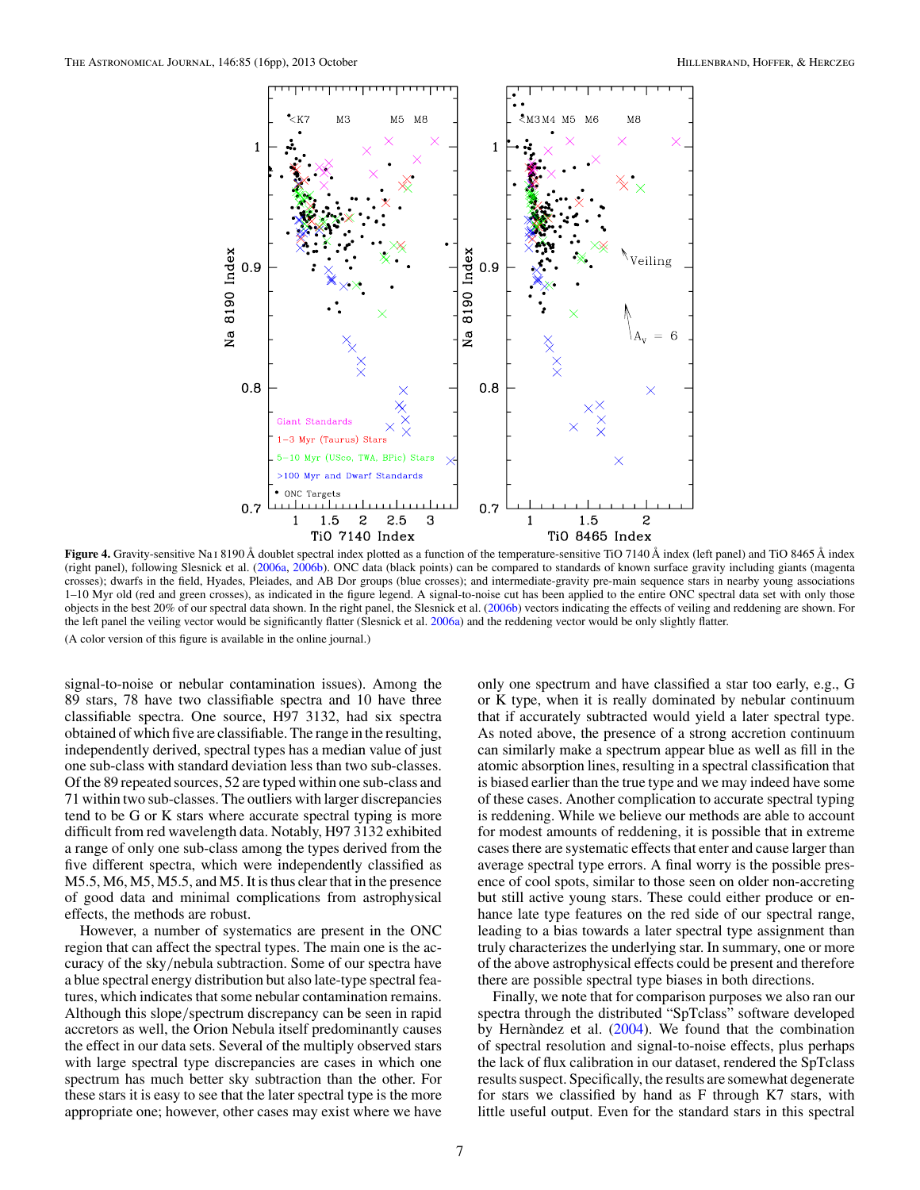<span id="page-6-0"></span>

**Figure 4.** Gravity-sensitive Na i 8190 Å doublet spectral index plotted as a function of the temperature-sensitive TiO 7140 Å index (left panel) and TiO 8465 Å index (right panel), following Slesnick et al. [\(2006a,](#page-15-0) [2006b\)](#page-15-0). ONC data (black points) can be compared to standards of known surface gravity including giants (magenta crosses); dwarfs in the field, Hyades, Pleiades, and AB Dor groups (blue crosses); and intermediate-gravity pre-main sequence stars in nearby young associations 1–10 Myr old (red and green crosses), as indicated in the figure legend. A signal-to-noise cut has been applied to the entire ONC spectral data set with only those objects in the best 20% of our spectral data shown. In the right panel, the Slesnick et al. [\(2006b\)](#page-15-0) vectors indicating the effects of veiling and reddening are shown. For the left panel the veiling vector would be significantly flatter (Slesnick et al. [2006a\)](#page-15-0) and the reddening vector would be only slightly flatter.

signal-to-noise or nebular contamination issues). Among the 89 stars, 78 have two classifiable spectra and 10 have three classifiable spectra. One source, H97 3132, had six spectra obtained of which five are classifiable. The range in the resulting, independently derived, spectral types has a median value of just one sub-class with standard deviation less than two sub-classes. Of the 89 repeated sources, 52 are typed within one sub-class and 71 within two sub-classes. The outliers with larger discrepancies tend to be G or K stars where accurate spectral typing is more difficult from red wavelength data. Notably, H97 3132 exhibited a range of only one sub-class among the types derived from the five different spectra, which were independently classified as M5.5, M6, M5, M5.5, and M5. It is thus clear that in the presence of good data and minimal complications from astrophysical effects, the methods are robust.

However, a number of systematics are present in the ONC region that can affect the spectral types. The main one is the accuracy of the sky*/*nebula subtraction. Some of our spectra have a blue spectral energy distribution but also late-type spectral features, which indicates that some nebular contamination remains. Although this slope*/*spectrum discrepancy can be seen in rapid accretors as well, the Orion Nebula itself predominantly causes the effect in our data sets. Several of the multiply observed stars with large spectral type discrepancies are cases in which one spectrum has much better sky subtraction than the other. For these stars it is easy to see that the later spectral type is the more appropriate one; however, other cases may exist where we have

only one spectrum and have classified a star too early, e.g., G or K type, when it is really dominated by nebular continuum that if accurately subtracted would yield a later spectral type. As noted above, the presence of a strong accretion continuum can similarly make a spectrum appear blue as well as fill in the atomic absorption lines, resulting in a spectral classification that is biased earlier than the true type and we may indeed have some of these cases. Another complication to accurate spectral typing is reddening. While we believe our methods are able to account for modest amounts of reddening, it is possible that in extreme cases there are systematic effects that enter and cause larger than average spectral type errors. A final worry is the possible presence of cool spots, similar to those seen on older non-accreting but still active young stars. These could either produce or enhance late type features on the red side of our spectral range, leading to a bias towards a later spectral type assignment than truly characterizes the underlying star. In summary, one or more of the above astrophysical effects could be present and therefore there are possible spectral type biases in both directions.

Finally, we note that for comparison purposes we also ran our spectra through the distributed "SpTclass" software developed by Hernandez et al.  $(2004)$  $(2004)$ . We found that the combination of spectral resolution and signal-to-noise effects, plus perhaps the lack of flux calibration in our dataset, rendered the SpTclass results suspect. Specifically, the results are somewhat degenerate for stars we classified by hand as F through K7 stars, with little useful output. Even for the standard stars in this spectral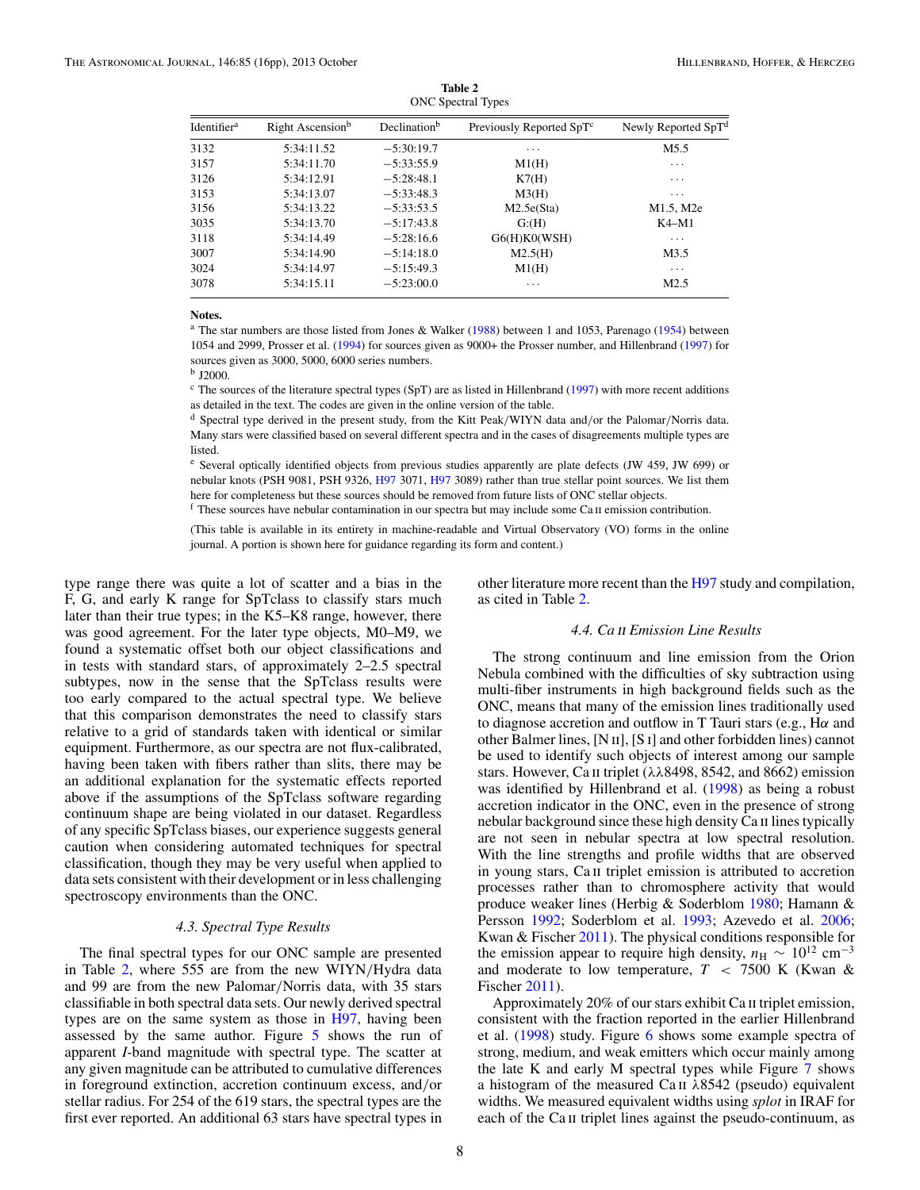<span id="page-7-0"></span>

| <b>ONC</b> Spectral Types |                              |                          |                                      |                                 |  |
|---------------------------|------------------------------|--------------------------|--------------------------------------|---------------------------------|--|
| Identifier <sup>a</sup>   | Right Ascension <sup>b</sup> | Declination <sup>b</sup> | Previously Reported SpT <sup>c</sup> | Newly Reported SpT <sup>d</sup> |  |
| 3132                      | 5:34:11.52                   | $-5:30:19.7$             | .                                    | M <sub>5.5</sub>                |  |
| 3157                      | 5:34:11.70                   | $-5:33:55.9$             | M1(H)                                | $\cdots$                        |  |
| 3126                      | 5:34:12.91                   | $-5:28:48.1$             | K7(H)                                | $\cdots$                        |  |
| 3153                      | 5:34:13.07                   | $-5:33:48.3$             | M3(H)                                | $\cdots$                        |  |
| 3156                      | 5:34:13.22                   | $-5:33:53.5$             | M2.5e(Sta)                           | M1.5, M2e                       |  |
| 3035                      | 5:34:13.70                   | $-5:17:43.8$             | G: (H)                               | $K4-M1$                         |  |
| 3118                      | 5:34:14.49                   | $-5:28:16.6$             | G6(H)KO(WSH)                         | $\cdots$                        |  |
| 3007                      | 5:34:14.90                   | $-5:14:18.0$             | M2.5(H)                              | M3.5                            |  |
| 3024                      | 5:34:14.97                   | $-5:15:49.3$             | M1(H)                                | $\cdots$                        |  |
| 3078                      | 5:34:15.11                   | $-5:23:00.0$             | $\cdots$                             | M <sub>2.5</sub>                |  |
|                           |                              |                          |                                      |                                 |  |

**Table 2** ONC Spectral Types

#### **Notes.**

<sup>a</sup> The star numbers are those listed from Jones & Walker [\(1988\)](#page-15-0) between 1 and 1053, Parenago [\(1954\)](#page-15-0) between 1054 and 2999, Prosser et al. [\(1994\)](#page-15-0) for sources given as 9000+ the Prosser number, and Hillenbrand [\(1997\)](#page-15-0) for sources given as 3000, 5000, 6000 series numbers.

<sup>b</sup> J2000.

 $c$  The sources of the literature spectral types (SpT) are as listed in Hillenbrand [\(1997\)](#page-15-0) with more recent additions as detailed in the text. The codes are given in the online version of the table.

<sup>d</sup> Spectral type derived in the present study, from the Kitt Peak*/*WIYN data and*/*or the Palomar*/*Norris data. Many stars were classified based on several different spectra and in the cases of disagreements multiple types are listed.

<sup>e</sup> Several optically identified objects from previous studies apparently are plate defects (JW 459, JW 699) or nebular knots (PSH 9081, PSH 9326, [H97](#page-15-0) 3071, H97 3089) rather than true stellar point sources. We list them here for completeness but these sources should be removed from future lists of ONC stellar objects.

 $f$  These sources have nebular contamination in our spectra but may include some Ca  $\pi$  emission contribution.

(This table is available in its entirety in machine-readable and Virtual Observatory (VO) forms in the online journal. A portion is shown here for guidance regarding its form and content.)

type range there was quite a lot of scatter and a bias in the F, G, and early K range for SpTclass to classify stars much later than their true types; in the K5–K8 range, however, there was good agreement. For the later type objects, M0–M9, we found a systematic offset both our object classifications and in tests with standard stars, of approximately 2–2.5 spectral subtypes, now in the sense that the SpTclass results were too early compared to the actual spectral type. We believe that this comparison demonstrates the need to classify stars relative to a grid of standards taken with identical or similar equipment. Furthermore, as our spectra are not flux-calibrated, having been taken with fibers rather than slits, there may be an additional explanation for the systematic effects reported above if the assumptions of the SpTclass software regarding continuum shape are being violated in our dataset. Regardless of any specific SpTclass biases, our experience suggests general caution when considering automated techniques for spectral classification, though they may be very useful when applied to data sets consistent with their development or in less challenging spectroscopy environments than the ONC.

# *4.3. Spectral Type Results*

The final spectral types for our ONC sample are presented in Table 2, where 555 are from the new WIYN*/*Hydra data and 99 are from the new Palomar*/*Norris data, with 35 stars classifiable in both spectral data sets. Our newly derived spectral types are on the same system as those in [H97,](#page-15-0) having been assessed by the same author. Figure [5](#page-8-0) shows the run of apparent *I*-band magnitude with spectral type. The scatter at any given magnitude can be attributed to cumulative differences in foreground extinction, accretion continuum excess, and*/*or stellar radius. For 254 of the 619 stars, the spectral types are the first ever reported. An additional 63 stars have spectral types in

other literature more recent than the [H97](#page-15-0) study and compilation, as cited in Table 2.

# *4.4. Ca* ii *Emission Line Results*

The strong continuum and line emission from the Orion Nebula combined with the difficulties of sky subtraction using multi-fiber instruments in high background fields such as the ONC, means that many of the emission lines traditionally used to diagnose accretion and outflow in T Tauri stars (e.g., H*α* and other Balmer lines, [N ii], [S i] and other forbidden lines) cannot be used to identify such objects of interest among our sample stars. However, Ca ii triplet (*λλ*8498, 8542, and 8662) emission was identified by Hillenbrand et al. [\(1998\)](#page-15-0) as being a robust accretion indicator in the ONC, even in the presence of strong nebular background since these high density Ca II lines typically are not seen in nebular spectra at low spectral resolution. With the line strengths and profile widths that are observed in young stars, Ca ii triplet emission is attributed to accretion processes rather than to chromosphere activity that would produce weaker lines (Herbig & Soderblom [1980;](#page-14-0) Hamann & Persson [1992;](#page-14-0) Soderblom et al. [1993;](#page-15-0) Azevedo et al. [2006;](#page-14-0) Kwan & Fischer [2011\)](#page-15-0). The physical conditions responsible for the emission appear to require high density,  $n_H \sim 10^{12}$  cm<sup>-3</sup> and moderate to low temperature, *T <* 7500 K (Kwan & Fischer [2011\)](#page-15-0).

Approximately 20% of our stars exhibit Ca ii triplet emission, consistent with the fraction reported in the earlier Hillenbrand et al. [\(1998\)](#page-15-0) study. Figure [6](#page-8-0) shows some example spectra of strong, medium, and weak emitters which occur mainly among the late K and early M spectral types while Figure [7](#page-9-0) shows a histogram of the measured Ca ii *λ*8542 (pseudo) equivalent widths. We measured equivalent widths using *splot* in IRAF for each of the Ca<sub>II</sub> triplet lines against the pseudo-continuum, as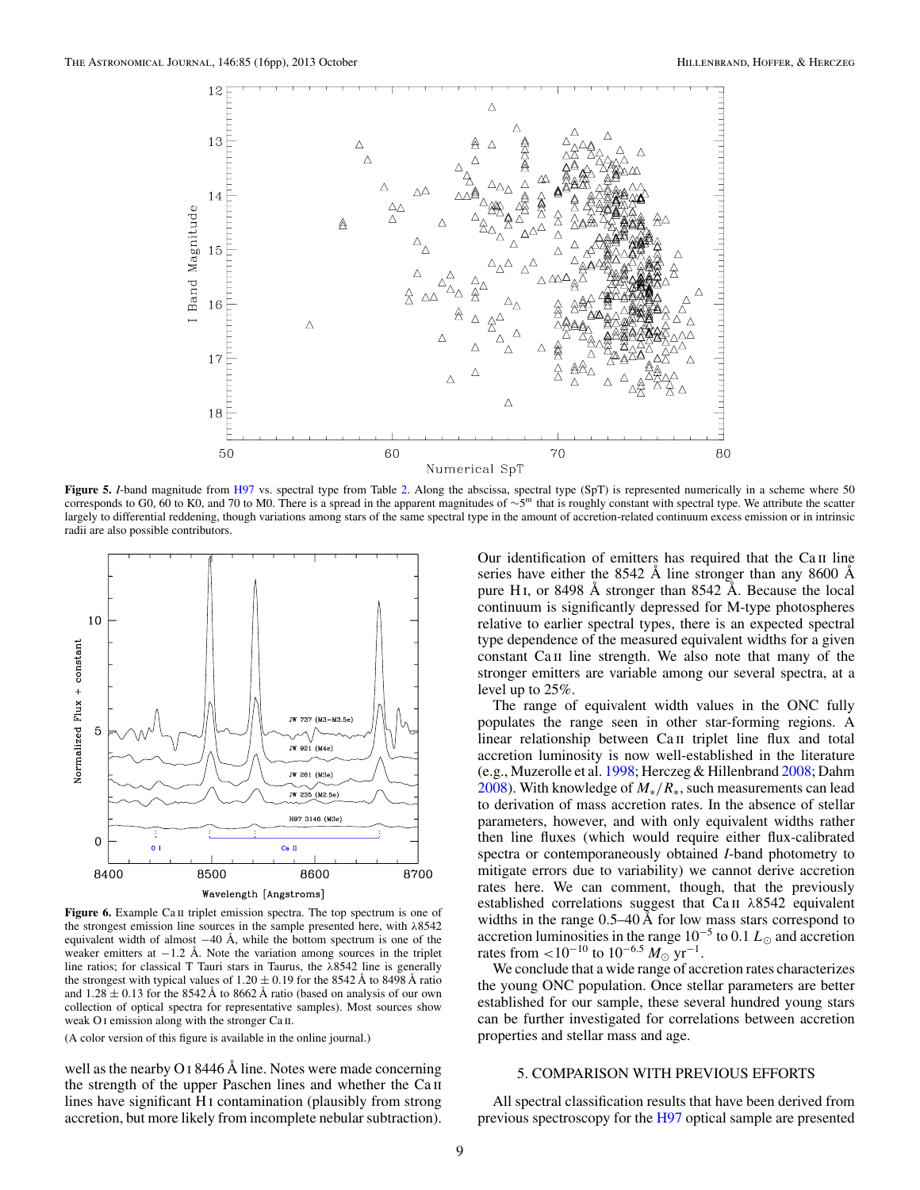<span id="page-8-0"></span>

**Figure 5.** *I*-band magnitude from [H97](#page-15-0) vs. spectral type from Table [2.](#page-7-0) Along the abscissa, spectral type (SpT) is represented numerically in a scheme where 50 corresponds to G0, 60 to K0, and 70 to M0. There is a spread in the apparent magnitudes of <sup>∼</sup>5*<sup>m</sup>* that is roughly constant with spectral type. We attribute the scatter largely to differential reddening, though variations among stars of the same spectral type in the amount of accretion-related continuum excess emission or in intrinsic radii are also possible contributors.



**Figure 6.** Example Ca II triplet emission spectra. The top spectrum is one of the strongest emission line sources in the sample presented here, with *λ*8542 equivalent width of almost −40 Å, while the bottom spectrum is one of the weaker emitters at  $-1.2$  Å. Note the variation among sources in the triplet line ratios; for classical T Tauri stars in Taurus, the *λ*8542 line is generally the strongest with typical values of  $1.20 \pm 0.19$  for the 8542 Å to 8498 Å ratio and  $1.28 \pm 0.13$  for the 8542 Å to 8662 Å ratio (based on analysis of our own collection of optical spectra for representative samples). Most sources show weak O<sub>I</sub> emission along with the stronger Ca<sub>II</sub>.

well as the nearby O i 8446 Å line. Notes were made concerning the strength of the upper Paschen lines and whether the Ca ii lines have significant H<sub>I</sub> contamination (plausibly from strong) accretion, but more likely from incomplete nebular subtraction).

Our identification of emitters has required that the Ca II line series have either the 8542 Å line stronger than any 8600 Å pure H<sub>I</sub>, or 8498  $\AA$  stronger than 8542  $\AA$ . Because the local continuum is significantly depressed for M-type photospheres relative to earlier spectral types, there is an expected spectral type dependence of the measured equivalent widths for a given constant Ca II line strength. We also note that many of the stronger emitters are variable among our several spectra, at a level up to 25%.

The range of equivalent width values in the ONC fully populates the range seen in other star-forming regions. A linear relationship between Ca II triplet line flux and total accretion luminosity is now well-established in the literature (e.g., Muzerolle et al. [1998;](#page-15-0) Herczeg & Hillenbrand [2008;](#page-15-0) Dahm [2008\)](#page-14-0). With knowledge of *M*∗*/R*∗, such measurements can lead to derivation of mass accretion rates. In the absence of stellar parameters, however, and with only equivalent widths rather then line fluxes (which would require either flux-calibrated spectra or contemporaneously obtained *I*-band photometry to mitigate errors due to variability) we cannot derive accretion rates here. We can comment, though, that the previously established correlations suggest that Ca ii *λ*8542 equivalent widths in the range  $0.5-40$  Å for low mass stars correspond to accretion luminosities in the range  $10^{-5}$  to 0.1  $L_{\odot}$  and accretion rates from  $\lt 10^{-10}$  to  $10^{-6.5} M_{\odot} \text{ yr}^{-1}$ .

We conclude that a wide range of accretion rates characterizes the young ONC population. Once stellar parameters are better established for our sample, these several hundred young stars can be further investigated for correlations between accretion properties and stellar mass and age.

# 5. COMPARISON WITH PREVIOUS EFFORTS

All spectral classification results that have been derived from previous spectroscopy for the [H97](#page-15-0) optical sample are presented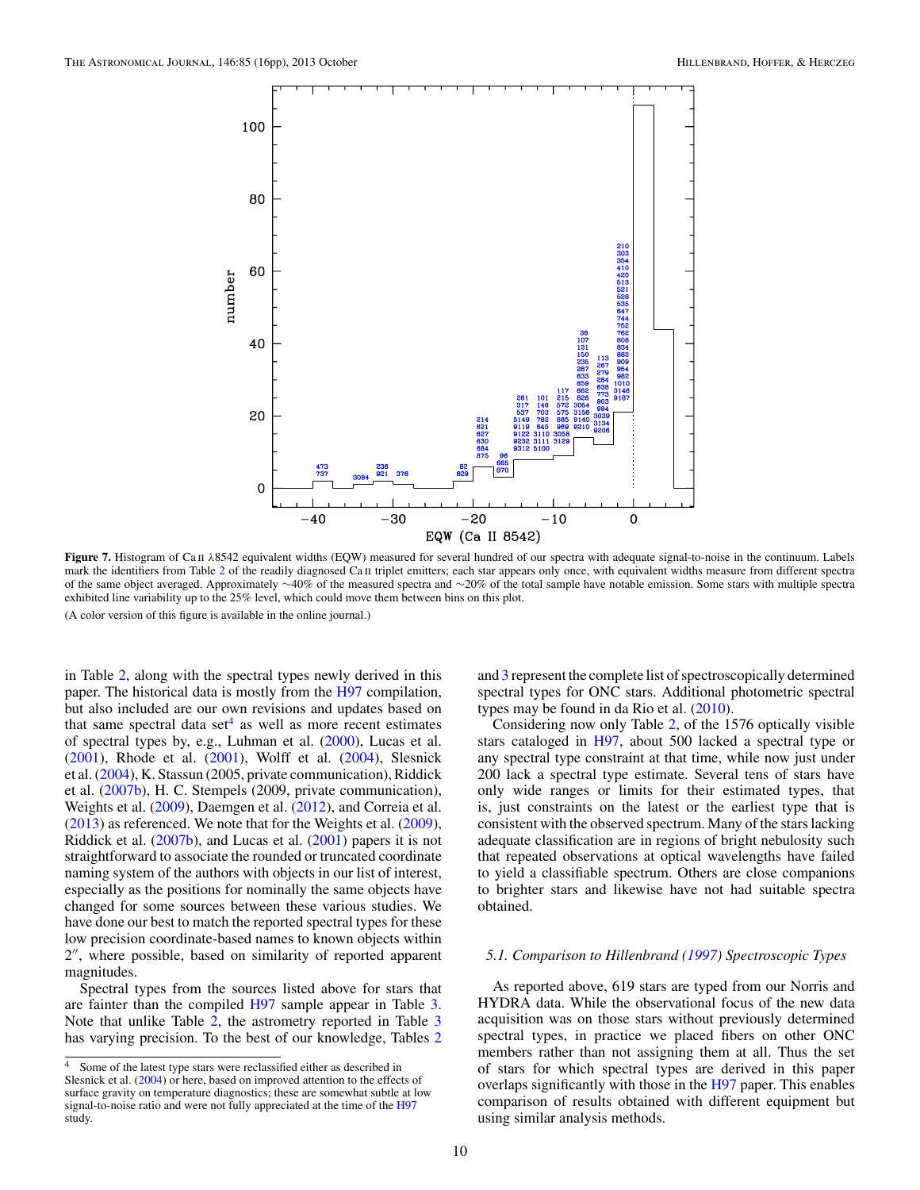<span id="page-9-0"></span>

**Figure 7.** Histogram of Ca ii *λ*8542 equivalent widths (EQW) measured for several hundred of our spectra with adequate signal-to-noise in the continuum. Labels mark the identifiers from Table [2](#page-7-0) of the readily diagnosed Ca II triplet emitters; each star appears only once, with equivalent widths measure from different spectra of the same object averaged. Approximately ∼40% of the measured spectra and ∼20% of the total sample have notable emission. Some stars with multiple spectra exhibited line variability up to the 25% level, which could move them between bins on this plot. (A color version of this figure is available in the online journal.)

in Table [2,](#page-7-0) along with the spectral types newly derived in this paper. The historical data is mostly from the [H97](#page-15-0) compilation, but also included are our own revisions and updates based on that same spectral data set<sup>4</sup> as well as more recent estimates of spectral types by, e.g., Luhman et al. [\(2000\)](#page-15-0), Lucas et al. [\(2001\)](#page-15-0), Rhode et al. [\(2001\)](#page-15-0), Wolff et al. [\(2004\)](#page-15-0), Slesnick et al. [\(2004\)](#page-15-0), K. Stassun (2005, private communication), Riddick et al. [\(2007b\)](#page-15-0), H. C. Stempels (2009, private communication), Weights et al. [\(2009\)](#page-15-0), Daemgen et al. [\(2012\)](#page-14-0), and Correia et al. [\(2013\)](#page-14-0) as referenced. We note that for the Weights et al. [\(2009\)](#page-15-0), Riddick et al. [\(2007b\)](#page-15-0), and Lucas et al. [\(2001\)](#page-15-0) papers it is not straightforward to associate the rounded or truncated coordinate naming system of the authors with objects in our list of interest, especially as the positions for nominally the same objects have changed for some sources between these various studies. We have done our best to match the reported spectral types for these low precision coordinate-based names to known objects within 2", where possible, based on similarity of reported apparent magnitudes.

Spectral types from the sources listed above for stars that are fainter than the compiled [H97](#page-15-0) sample appear in Table [3.](#page-10-0) Note that unlike Table [2,](#page-7-0) the astrometry reported in Table [3](#page-10-0) has varying precision. To the best of our knowledge, Tables [2](#page-7-0)

and [3](#page-10-0) represent the complete list of spectroscopically determined spectral types for ONC stars. Additional photometric spectral types may be found in da Rio et al. [\(2010\)](#page-14-0).

Considering now only Table [2,](#page-7-0) of the 1576 optically visible stars cataloged in [H97,](#page-15-0) about 500 lacked a spectral type or any spectral type constraint at that time, while now just under 200 lack a spectral type estimate. Several tens of stars have only wide ranges or limits for their estimated types, that is, just constraints on the latest or the earliest type that is consistent with the observed spectrum. Many of the stars lacking adequate classification are in regions of bright nebulosity such that repeated observations at optical wavelengths have failed to yield a classifiable spectrum. Others are close companions to brighter stars and likewise have not had suitable spectra obtained.

#### *5.1. Comparison to Hillenbrand [\(1997\)](#page-15-0) Spectroscopic Types*

As reported above, 619 stars are typed from our Norris and HYDRA data. While the observational focus of the new data acquisition was on those stars without previously determined spectral types, in practice we placed fibers on other ONC members rather than not assigning them at all. Thus the set of stars for which spectral types are derived in this paper overlaps significantly with those in the [H97](#page-15-0) paper. This enables comparison of results obtained with different equipment but using similar analysis methods.

<sup>&</sup>lt;sup>4</sup> Some of the latest type stars were reclassified either as described in Slesnick et al. [\(2004\)](#page-15-0) or here, based on improved attention to the effects of surface gravity on temperature diagnostics; these are somewhat subtle at low signal-to-noise ratio and were not fully appreciated at the time of the [H97](#page-15-0) study.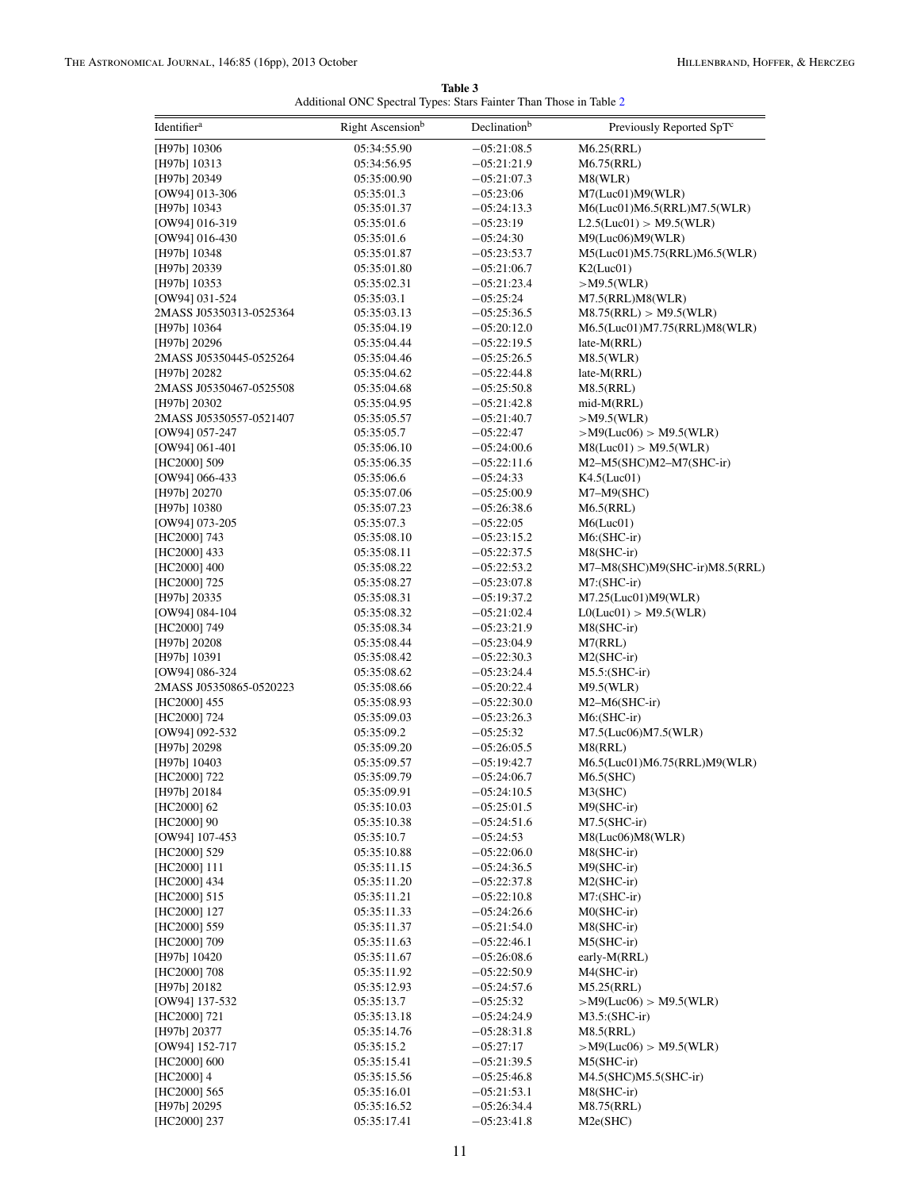| Table 3                                                            |  |
|--------------------------------------------------------------------|--|
| Additional ONC Spectral Types: Stars Fainter Than Those in Table 2 |  |

<span id="page-10-0"></span>

| Identifier <sup>a</sup>                 | Right Ascension <sup>b</sup> | Declination <sup>b</sup>       | Previously Reported SpTc                                |
|-----------------------------------------|------------------------------|--------------------------------|---------------------------------------------------------|
| [H97b] 10306                            | 05:34:55.90                  | $-05:21:08.5$                  | M6.25(RRL)                                              |
| [H97b] 10313                            | 05:34:56.95                  | $-05:21:21.9$                  | M6.75(RRL)                                              |
| [H97b] 20349                            | 05:35:00.90                  | $-05:21:07.3$                  | M8(WLR)                                                 |
| [OW94] 013-306                          | 05:35:01.3                   | $-05:23:06$                    | M7(Luc01)M9(WLR)                                        |
| [H97b] 10343                            | 05:35:01.37                  | $-05:24:13.3$                  | M6(Luc01)M6.5(RRL)M7.5(WLR)                             |
| [OW94] 016-319                          | 05:35:01.6                   | $-05:23:19$                    | L2.5(Luc01) > M9.5(WLR)                                 |
| [OW94] 016-430                          | 05:35:01.6                   | $-05:24:30$                    | M9(Luc06)M9(WLR)                                        |
| [H97b] 10348                            | 05:35:01.87                  | $-05:23:53.7$                  | M5(Luc01)M5.75(RRL)M6.5(WLR)                            |
| [H97b] 20339                            | 05:35:01.80                  | $-05:21:06.7$                  | K2(Luc01)                                               |
| [H97b] 10353                            | 05:35:02.31                  | $-05:21:23.4$                  | $>$ M9.5(WLR)                                           |
| [OW94] 031-524                          | 05:35:03.1                   | $-05:25:24$                    | M7.5(RRL)M8(WLR)                                        |
| 2MASS J05350313-0525364                 | 05:35:03.13                  | $-05:25:36.5$                  | M8.75(RRL) > M9.5(WLR)                                  |
| [H97b] 10364                            | 05:35:04.19                  | $-05:20:12.0$                  | M6.5(Luc01)M7.75(RRL)M8(WLR)                            |
| [H97b] 20296<br>2MASS J05350445-0525264 | 05:35:04.44<br>05:35:04.46   | $-05:22:19.5$<br>$-05:25:26.5$ | late-M(RRL)<br>M8.5(WLR)                                |
| [H97b] 20282                            | 05:35:04.62                  | $-05:22:44.8$                  | late-M(RRL)                                             |
| 2MASS J05350467-0525508                 | 05:35:04.68                  | $-05:25:50.8$                  | M8.5(RRL)                                               |
| [H97b] 20302                            | 05:35:04.95                  | $-05:21:42.8$                  | mid-M(RRL)                                              |
| 2MASS J05350557-0521407                 | 05:35:05.57                  | $-05:21:40.7$                  | $>$ M9.5(WLR)                                           |
| [OW94] 057-247                          | 05:35:05.7                   | $-05:22:47$                    | $>$ M9(Luc06) $>$ M9.5(WLR)                             |
| [OW94] 061-401                          | 05:35:06.10                  | $-05:24:00.6$                  | M8(Luc01) > M9.5(WLR)                                   |
| [HC2000] 509                            | 05:35:06.35                  | $-05:22:11.6$                  | $M2-M5(SHC)M2-M7(SHC-ir)$                               |
| [OW94] 066-433                          | 05:35:06.6                   | $-05:24:33$                    | K4.5(Luc01)                                             |
| [H97b] 20270                            | 05:35:07.06                  | $-05:25:00.9$                  | $M7-M9(SHC)$                                            |
| [H97b] 10380                            | 05:35:07.23                  | $-05:26:38.6$                  | M6.5(RRL)                                               |
| [OW94] 073-205                          | 05:35:07.3                   | $-05:22:05$                    | M6(Luc01)                                               |
| [HC2000] 743                            | 05:35:08.10                  | $-05:23:15.2$                  | $M6:(SHC-ir)$                                           |
| [HC2000] 433                            | 05:35:08.11                  | $-05:22:37.5$                  | $M8(SHC-ir)$                                            |
| [HC2000] 400                            | 05:35:08.22                  | $-05:22:53.2$                  | M7-M8(SHC)M9(SHC-ir)M8.5(RRL)                           |
| [HC2000] 725                            | 05:35:08.27                  | $-05:23:07.8$                  | $M7: (SHC-ir)$                                          |
| [H97b] 20335<br>[OW94] 084-104          | 05:35:08.31<br>05:35:08.32   | $-05:19:37.2$<br>$-05:21:02.4$ | $M7.25$ (Luc $01$ ) $M9$ (WLR)<br>LO(Luc01) > M9.5(WLR) |
| [HC2000] 749                            | 05:35:08.34                  | $-05:23:21.9$                  | $M8(SHC-ir)$                                            |
| [H97b] 20208                            | 05:35:08.44                  | $-05:23:04.9$                  | M7(RRL)                                                 |
| [H97b] 10391                            | 05:35:08.42                  | $-05:22:30.3$                  | $M2(SHC-ir)$                                            |
| [OW94] 086-324                          | 05:35:08.62                  | $-05:23:24.4$                  | $M5.5$ : (SHC-ir)                                       |
| 2MASS J05350865-0520223                 | 05:35:08.66                  | $-05:20:22.4$                  | M9.5(WLR)                                               |
| [HC2000] 455                            | 05:35:08.93                  | $-05:22:30.0$                  | $M2-M6(SHC-ir)$                                         |
| [HC2000] 724                            | 05:35:09.03                  | $-05:23:26.3$                  | $M6$ : $(SHC-ir)$                                       |
| [OW94] 092-532                          | 05:35:09.2                   | $-05:25:32$                    | M7.5(Luc06)M7.5(WLR)                                    |
| [H97b] 20298                            | 05:35:09.20                  | $-05:26:05.5$                  | M8(RRL)                                                 |
| [H97b] 10403                            | 05:35:09.57                  | $-05:19:42.7$                  | M6.5(Luc01)M6.75(RRL)M9(WLR)                            |
| [HC2000] 722                            | 05:35:09.79                  | $-05:24:06.7$                  | M6.5(SHC)                                               |
| [H97b] 20184                            | 05:35:09.91                  | $-05:24:10.5$                  | M3(SHC)                                                 |
| [HC2000] 62                             | 05:35:10.03                  | $-05:25:01.5$                  | $M9(SHC-ir)$                                            |
| [HC2000] 90<br>[OW94] 107-453           | 05:35:10.38<br>05:35:10.7    | $-05:24:51.6$<br>$-05:24:53$   | $M7.5(SHC-ir)$<br>M8(Luc06)M8(WLR)                      |
| [HC2000] 529                            | 05:35:10.88                  | $-05:22:06.0$                  | $M8(SHC-ir)$                                            |
| [HC2000] 111                            | 05:35:11.15                  | $-05:24:36.5$                  | M9(SHC-ir)                                              |
| [HC2000] 434                            | 05:35:11.20                  | $-05:22:37.8$                  | $M2(SHC-ir)$                                            |
| [HC2000] 515                            | 05:35:11.21                  | $-05:22:10.8$                  | $M7: (SHC-ir)$                                          |
| [HC2000] 127                            | 05:35:11.33                  | $-05:24:26.6$                  | $M0(SHC-ir)$                                            |
| [HC2000] 559                            | 05:35:11.37                  | $-05:21:54.0$                  | M8(SHC-ir)                                              |
| [HC2000] 709                            | 05:35:11.63                  | $-05:22:46.1$                  | $M5(SHC-ir)$                                            |
| [H97b] 10420                            | 05:35:11.67                  | $-05:26:08.6$                  | early-M(RRL)                                            |
| [HC2000] 708                            | 05:35:11.92                  | $-05:22:50.9$                  | $M4(SHC-ir)$                                            |
| [H97b] 20182                            | 05:35:12.93                  | $-05:24:57.6$                  | M5.25(RRL)                                              |
| [OW94] 137-532                          | 05:35:13.7                   | $-05:25:32$                    | $>$ M9(Luc06) $>$ M9.5(WLR)                             |
| [HC2000] 721                            | 05:35:13.18                  | $-05:24:24.9$                  | $M3.5$ : (SHC-ir)                                       |
| [H97b] 20377                            | 05:35:14.76                  | $-05:28:31.8$                  | M8.5(RRL)                                               |
| [OW94] 152-717                          | 05:35:15.2                   | $-05:27:17$                    | $>$ M9(Luc06) $>$ M9.5(WLR)                             |
| [HC2000] 600<br>$[HC2000]$ 4            | 05:35:15.41<br>05:35:15.56   | $-05:21:39.5$<br>$-05:25:46.8$ | $M5(SHC-ir)$<br>$M4.5(SHC)M5.5(SHC-ir)$                 |
| [HC2000] 565                            | 05:35:16.01                  | $-05:21:53.1$                  | $M8(SHC-ir)$                                            |
| [H97b] 20295                            | 05:35:16.52                  | $-05:26:34.4$                  | M8.75(RRL)                                              |
| [HC2000] 237                            | 05:35:17.41                  | $-05:23:41.8$                  | M2e(SHC)                                                |
|                                         |                              |                                |                                                         |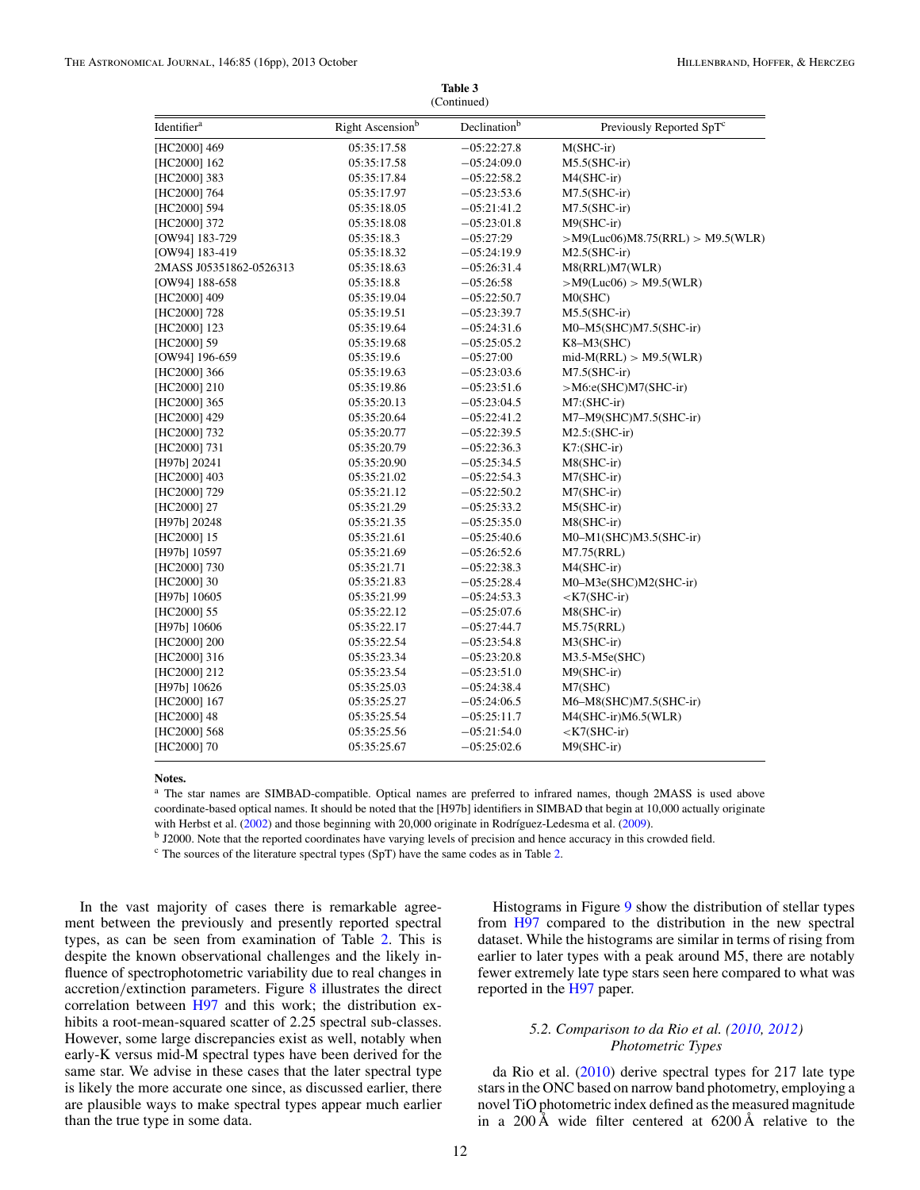|                         |                  | (Continued)              |                                       |
|-------------------------|------------------|--------------------------|---------------------------------------|
| Identifier <sup>a</sup> | Right Ascensionb | Declination <sup>b</sup> | Previously Reported SpT <sup>c</sup>  |
| [HC2000] 469            | 05:35:17.58      | $-05:22:27.8$            | $M(SHC-ir)$                           |
| [HC2000] 162            | 05:35:17.58      | $-05:24:09.0$            | $M5.5(SHC-ir)$                        |
| [HC2000] 383            | 05:35:17.84      | $-05:22:58.2$            | $M4(SHC-ir)$                          |
| [HC2000] 764            | 05:35:17.97      | $-05:23:53.6$            | $M7.5(SHC-ir)$                        |
| [HC2000] 594            | 05:35:18.05      | $-05:21:41.2$            | $M7.5(SHC-ir)$                        |
| [HC2000] 372            | 05:35:18.08      | $-05:23:01.8$            | $M9(SHC-ir)$                          |
| [OW94] 183-729          | 05:35:18.3       | $-05:27:29$              | $>$ M9(Luc06)M8.75(RRL) $>$ M9.5(WLR) |
| [OW94] 183-419          | 05:35:18.32      | $-05:24:19.9$            | $M2.5(SHC-ir)$                        |
| 2MASS J05351862-0526313 | 05:35:18.63      | $-05:26:31.4$            | M8(RRL)M7(WLR)                        |
| [OW94] 188-658          | 05:35:18.8       | $-05:26:58$              | $>$ M9(Luc06) $>$ M9.5(WLR)           |
| [HC2000] 409            | 05:35:19.04      | $-05:22:50.7$            | MO(SHC)                               |
| [HC2000] 728            | 05:35:19.51      | $-05:23:39.7$            | $M5.5(SHC-ir)$                        |
| [HC2000] 123            | 05:35:19.64      | $-05:24:31.6$            | $M0-M5(SHC)M7.5(SHC-ir)$              |
| [HC2000] 59             | 05:35:19.68      | $-05:25:05.2$            | $K8-M3(SHC)$                          |
| [OW94] 196-659          | 05:35:19.6       | $-05:27:00$              | $mid-M(RRL) > M9.5(WLR)$              |
| [HC2000] 366            | 05:35:19.63      | $-05:23:03.6$            | $M7.5(SHC-ir)$                        |
| [HC2000] 210            | 05:35:19.86      | $-05:23:51.6$            | $>$ M6:e(SHC)M7(SHC-ir)               |
| [HC2000] 365            | 05:35:20.13      | $-05:23:04.5$            | $M7: (SHC-ir)$                        |
| [HC2000] 429            | 05:35:20.64      | $-05:22:41.2$            | M7-M9(SHC)M7.5(SHC-ir)                |
| [HC2000] 732            | 05:35:20.77      | $-05:22:39.5$            | $M2.5$ : $(SHC-ir)$                   |
| [HC2000] 731            | 05:35:20.79      | $-05:22:36.3$            | $K7: (SHC-ir)$                        |
| [H97b] 20241            | 05:35:20.90      | $-05:25:34.5$            | M8(SHC-ir)                            |
| [HC2000] 403            | 05:35:21.02      | $-05:22:54.3$            | $M7(SHC-ir)$                          |
| [HC2000] 729            | 05:35:21.12      | $-05:22:50.2$            | $M7(SHC-ir)$                          |
| [HC2000] 27             | 05:35:21.29      | $-05:25:33.2$            | $M5(SHC-ir)$                          |
| [H97b] 20248            | 05:35:21.35      | $-05:25:35.0$            | $M8(SHC-ir)$                          |
| [HC2000] 15             | 05:35:21.61      | $-05:25:40.6$            | M0-M1(SHC)M3.5(SHC-ir)                |
| [H97b] 10597            | 05:35:21.69      | $-05:26:52.6$            | M7.75(RRL)                            |
| [HC2000] 730            | 05:35:21.71      | $-05:22:38.3$            | M4(SHC-ir)                            |
| [HC2000] 30             | 05:35:21.83      | $-05:25:28.4$            | M0-M3e(SHC)M2(SHC-ir)                 |
| [H97b] 10605            | 05:35:21.99      | $-05:24:53.3$            | $<$ K7(SHC-ir)                        |
| [HC2000] 55             | 05:35:22.12      | $-05:25:07.6$            | M8(SHC-ir)                            |
| [H97b] 10606            | 05:35:22.17      | $-05:27:44.7$            | M5.75(RRL)                            |
| [HC2000] 200            | 05:35:22.54      | $-05:23:54.8$            | $M3(SHC-ir)$                          |
| [HC2000] 316            | 05:35:23.34      | $-05:23:20.8$            | $M3.5-M5e(SHC)$                       |
| [HC2000] 212            | 05:35:23.54      | $-05:23:51.0$            | $M9(SHC-ir)$                          |
| [H97b] 10626            | 05:35:25.03      | $-05:24:38.4$            | M7(SHC)                               |
| [HC2000] 167            | 05:35:25.27      | $-05:24:06.5$            | M6-M8(SHC)M7.5(SHC-ir)                |
| [HC2000] 48             | 05:35:25.54      | $-05:25:11.7$            | M4(SHC-ir)M6.5(WLR)                   |
| [HC2000] 568            | 05:35:25.56      | $-05:21:54.0$            | $<$ K7(SHC-ir)                        |
| [HC2000] 70             | 05:35:25.67      | $-05:25:02.6$            | $M9(SHC-ir)$                          |
|                         |                  |                          |                                       |

# **Table 3**

#### **Notes.**

<sup>a</sup> The star names are SIMBAD-compatible. Optical names are preferred to infrared names, though 2MASS is used above coordinate-based optical names. It should be noted that the [H97b] identifiers in SIMBAD that begin at 10,000 actually originate with Herbst et al. [\(2002\)](#page-14-0) and those beginning with 20,000 originate in Rodríguez-Ledesma et al. [\(2009\)](#page-15-0).

<sup>b</sup> J2000. Note that the reported coordinates have varying levels of precision and hence accuracy in this crowded field.

<sup>c</sup> The sources of the literature spectral types (SpT) have the same codes as in Table [2.](#page-7-0)

In the vast majority of cases there is remarkable agreement between the previously and presently reported spectral types, as can be seen from examination of Table [2.](#page-7-0) This is despite the known observational challenges and the likely influence of spectrophotometric variability due to real changes in accretion*/*extinction parameters. Figure [8](#page-12-0) illustrates the direct correlation between [H97](#page-15-0) and this work; the distribution exhibits a root-mean-squared scatter of 2.25 spectral sub-classes. However, some large discrepancies exist as well, notably when early-K versus mid-M spectral types have been derived for the same star. We advise in these cases that the later spectral type is likely the more accurate one since, as discussed earlier, there are plausible ways to make spectral types appear much earlier than the true type in some data.

Histograms in Figure [9](#page-13-0) show the distribution of stellar types from [H97](#page-15-0) compared to the distribution in the new spectral dataset. While the histograms are similar in terms of rising from earlier to later types with a peak around M5, there are notably fewer extremely late type stars seen here compared to what was reported in the [H97](#page-15-0) paper.

## *5.2. Comparison to da Rio et al. [\(2010,](#page-14-0) [2012\)](#page-14-0) Photometric Types*

da Rio et al. [\(2010\)](#page-14-0) derive spectral types for 217 late type stars in the ONC based on narrow band photometry, employing a novel TiO photometric index defined as the measured magnitude in a 200 Å wide filter centered at 6200 Å relative to the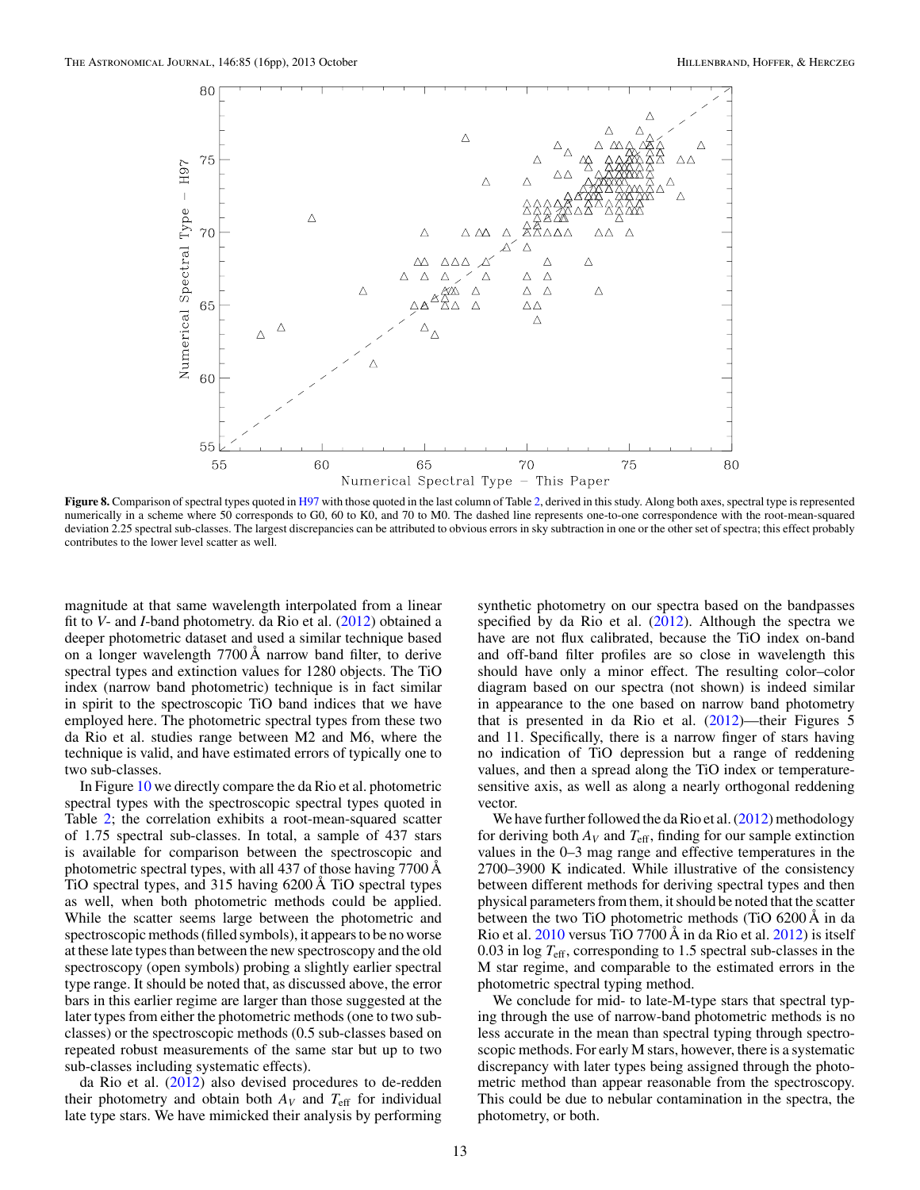<span id="page-12-0"></span>

**Figure 8.** Comparison of spectral types quoted in [H97](#page-15-0) with those quoted in the last column of Table [2,](#page-7-0) derived in this study. Along both axes, spectral type is represented numerically in a scheme where 50 corresponds to G0, 60 to K0, and 70 to M0. The dashed line represents one-to-one correspondence with the root-mean-squared deviation 2.25 spectral sub-classes. The largest discrepancies can be attributed to obvious errors in sky subtraction in one or the other set of spectra; this effect probably contributes to the lower level scatter as well.

magnitude at that same wavelength interpolated from a linear fit to *V*- and *I*-band photometry. da Rio et al. [\(2012\)](#page-14-0) obtained a deeper photometric dataset and used a similar technique based on a longer wavelength 7700 Å narrow band filter, to derive spectral types and extinction values for 1280 objects. The TiO index (narrow band photometric) technique is in fact similar in spirit to the spectroscopic TiO band indices that we have employed here. The photometric spectral types from these two da Rio et al. studies range between M2 and M6, where the technique is valid, and have estimated errors of typically one to two sub-classes.

In Figure [10](#page-14-0) we directly compare the da Rio et al. photometric spectral types with the spectroscopic spectral types quoted in Table [2;](#page-7-0) the correlation exhibits a root-mean-squared scatter of 1.75 spectral sub-classes. In total, a sample of 437 stars is available for comparison between the spectroscopic and photometric spectral types, with all 437 of those having 7700 Å TiO spectral types, and 315 having 6200 Å TiO spectral types as well, when both photometric methods could be applied. While the scatter seems large between the photometric and spectroscopic methods (filled symbols), it appears to be no worse at these late types than between the new spectroscopy and the old spectroscopy (open symbols) probing a slightly earlier spectral type range. It should be noted that, as discussed above, the error bars in this earlier regime are larger than those suggested at the later types from either the photometric methods (one to two subclasses) or the spectroscopic methods (0.5 sub-classes based on repeated robust measurements of the same star but up to two sub-classes including systematic effects).

da Rio et al. [\(2012\)](#page-14-0) also devised procedures to de-redden their photometry and obtain both  $A_V$  and  $T_{\text{eff}}$  for individual late type stars. We have mimicked their analysis by performing

synthetic photometry on our spectra based on the bandpasses specified by da Rio et al. [\(2012\)](#page-14-0). Although the spectra we have are not flux calibrated, because the TiO index on-band and off-band filter profiles are so close in wavelength this should have only a minor effect. The resulting color–color diagram based on our spectra (not shown) is indeed similar in appearance to the one based on narrow band photometry that is presented in da Rio et al.  $(2012)$ —their Figures 5 and 11. Specifically, there is a narrow finger of stars having no indication of TiO depression but a range of reddening values, and then a spread along the TiO index or temperaturesensitive axis, as well as along a nearly orthogonal reddening vector.

We have further followed the da Rio et al.  $(2012)$  methodology for deriving both  $A_V$  and  $T_{\text{eff}}$ , finding for our sample extinction values in the 0–3 mag range and effective temperatures in the 2700–3900 K indicated. While illustrative of the consistency between different methods for deriving spectral types and then physical parameters from them, it should be noted that the scatter between the two TiO photometric methods (TiO 6200 Å in da Rio et al. [2010](#page-14-0) versus TiO 7700 Å in da Rio et al. [2012\)](#page-14-0) is itself 0.03 in log *T*eff, corresponding to 1.5 spectral sub-classes in the M star regime, and comparable to the estimated errors in the photometric spectral typing method.

We conclude for mid- to late-M-type stars that spectral typing through the use of narrow-band photometric methods is no less accurate in the mean than spectral typing through spectroscopic methods. For early M stars, however, there is a systematic discrepancy with later types being assigned through the photometric method than appear reasonable from the spectroscopy. This could be due to nebular contamination in the spectra, the photometry, or both.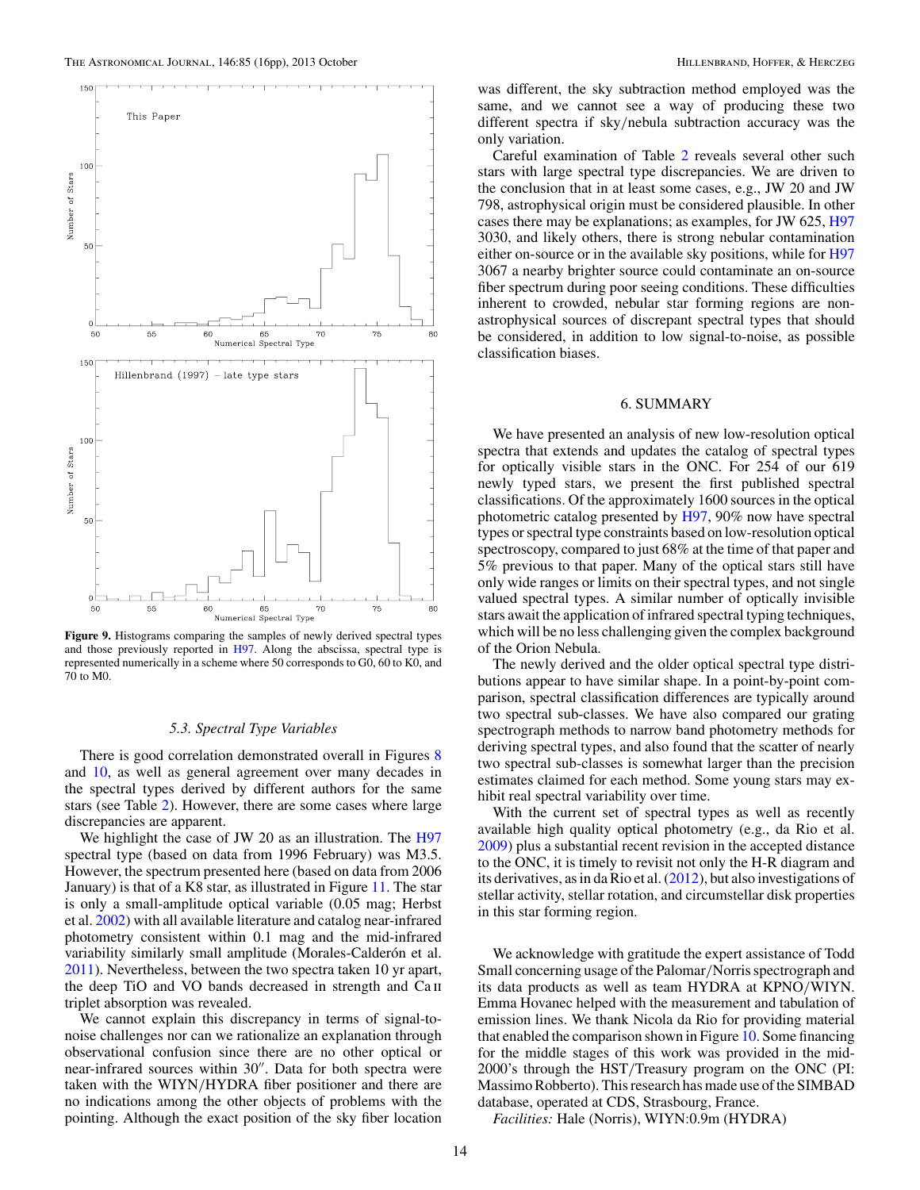<span id="page-13-0"></span>

**Figure 9.** Histograms comparing the samples of newly derived spectral types and those previously reported in [H97.](#page-15-0) Along the abscissa, spectral type is represented numerically in a scheme where 50 corresponds to G0, 60 to K0, and 70 to M0.

#### *5.3. Spectral Type Variables*

There is good correlation demonstrated overall in Figures [8](#page-12-0) and [10,](#page-14-0) as well as general agreement over many decades in the spectral types derived by different authors for the same stars (see Table [2\)](#page-7-0). However, there are some cases where large discrepancies are apparent.

We highlight the case of JW 20 as an illustration. The [H97](#page-15-0) spectral type (based on data from 1996 February) was M3.5. However, the spectrum presented here (based on data from 2006 January) is that of a K8 star, as illustrated in Figure [11.](#page-14-0) The star is only a small-amplitude optical variable (0.05 mag; Herbst et al. [2002\)](#page-14-0) with all available literature and catalog near-infrared photometry consistent within 0.1 mag and the mid-infrared variability similarly small amplitude (Morales-Calderón et al. [2011\)](#page-15-0). Nevertheless, between the two spectra taken 10 yr apart, the deep TiO and VO bands decreased in strength and Ca ii triplet absorption was revealed.

We cannot explain this discrepancy in terms of signal-tonoise challenges nor can we rationalize an explanation through observational confusion since there are no other optical or near-infrared sources within 30". Data for both spectra were taken with the WIYN*/*HYDRA fiber positioner and there are no indications among the other objects of problems with the pointing. Although the exact position of the sky fiber location

was different, the sky subtraction method employed was the same, and we cannot see a way of producing these two different spectra if sky*/*nebula subtraction accuracy was the only variation.

Careful examination of Table [2](#page-7-0) reveals several other such stars with large spectral type discrepancies. We are driven to the conclusion that in at least some cases, e.g., JW 20 and JW 798, astrophysical origin must be considered plausible. In other cases there may be explanations; as examples, for JW 625, [H97](#page-15-0) 3030, and likely others, there is strong nebular contamination either on-source or in the available sky positions, while for [H97](#page-15-0) 3067 a nearby brighter source could contaminate an on-source fiber spectrum during poor seeing conditions. These difficulties inherent to crowded, nebular star forming regions are nonastrophysical sources of discrepant spectral types that should be considered, in addition to low signal-to-noise, as possible classification biases.

# 6. SUMMARY

We have presented an analysis of new low-resolution optical spectra that extends and updates the catalog of spectral types for optically visible stars in the ONC. For 254 of our 619 newly typed stars, we present the first published spectral classifications. Of the approximately 1600 sources in the optical photometric catalog presented by [H97,](#page-15-0) 90% now have spectral types or spectral type constraints based on low-resolution optical spectroscopy, compared to just 68% at the time of that paper and 5% previous to that paper. Many of the optical stars still have only wide ranges or limits on their spectral types, and not single valued spectral types. A similar number of optically invisible stars await the application of infrared spectral typing techniques, which will be no less challenging given the complex background of the Orion Nebula.

The newly derived and the older optical spectral type distributions appear to have similar shape. In a point-by-point comparison, spectral classification differences are typically around two spectral sub-classes. We have also compared our grating spectrograph methods to narrow band photometry methods for deriving spectral types, and also found that the scatter of nearly two spectral sub-classes is somewhat larger than the precision estimates claimed for each method. Some young stars may exhibit real spectral variability over time.

With the current set of spectral types as well as recently available high quality optical photometry (e.g., da Rio et al. [2009\)](#page-14-0) plus a substantial recent revision in the accepted distance to the ONC, it is timely to revisit not only the H-R diagram and its derivatives, as in da Rio et al. [\(2012\)](#page-14-0), but also investigations of stellar activity, stellar rotation, and circumstellar disk properties in this star forming region.

We acknowledge with gratitude the expert assistance of Todd Small concerning usage of the Palomar*/*Norris spectrograph and its data products as well as team HYDRA at KPNO*/*WIYN. Emma Hovanec helped with the measurement and tabulation of emission lines. We thank Nicola da Rio for providing material that enabled the comparison shown in Figure [10.](#page-14-0) Some financing for the middle stages of this work was provided in the mid-2000's through the HST*/*Treasury program on the ONC (PI: Massimo Robberto). This research has made use of the SIMBAD database, operated at CDS, Strasbourg, France.

*Facilities:* Hale (Norris), WIYN:0.9m (HYDRA)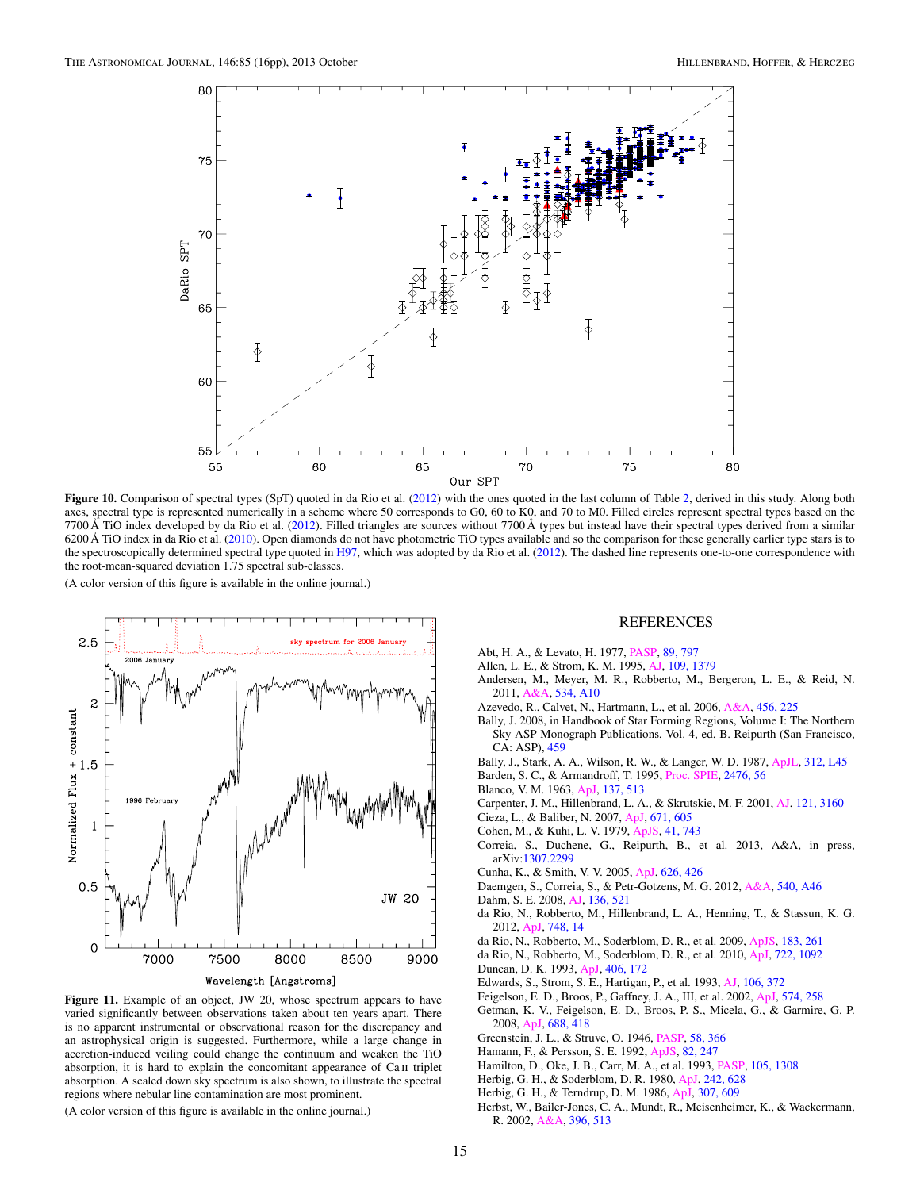<span id="page-14-0"></span>

Figure 10. Comparison of spectral types (SpT) quoted in da Rio et al. (2012) with the ones quoted in the last column of Table [2,](#page-7-0) derived in this study. Along both axes, spectral type is represented numerically in a scheme where 50 corresponds to G0, 60 to K0, and 70 to M0. Filled circles represent spectral types based on the  $7700 \text{ Å}$  TiO index developed by da Rio et al. (2012). Filled triangles are sources without 7700 Å types but instead have their spectral types derived from a similar 6200 Å TiO index in da Rio et al. (2010). Open diamonds do not have photometric TiO types available and so the comparison for these generally earlier type stars is to the spectroscopically determined spectral type quoted in [H97,](#page-15-0) which was adopted by da Rio et al. (2012). The dashed line represents one-to-one correspondence with the root-mean-squared deviation 1.75 spectral sub-classes.



**Figure 11.** Example of an object, JW 20, whose spectrum appears to have varied significantly between observations taken about ten years apart. There is no apparent instrumental or observational reason for the discrepancy and an astrophysical origin is suggested. Furthermore, while a large change in accretion-induced veiling could change the continuum and weaken the TiO absorption, it is hard to explain the concomitant appearance of Ca II triplet absorption. A scaled down sky spectrum is also shown, to illustrate the spectral regions where nebular line contamination are most prominent.

(A color version of this figure is available in the online journal.)

#### REFERENCES

- Abt, H. A., & Levato, H. 1977, [PASP,](http://dx.doi.org/10.1086/130230) [89, 797](http://adsabs.harvard.edu/abs/1977PASP...89..797A)
- Allen, L. E., & Strom, K. M. 1995, [AJ,](http://dx.doi.org/10.1086/117370) [109, 1379](http://adsabs.harvard.edu/abs/1995AJ....109.1379A)
- Andersen, M., Meyer, M. R., Robberto, M., Bergeron, L. E., & Reid, N. 2011, [A&A,](http://dx.doi.org/10.1051/0004-6361/201117062) [534, A10](http://adsabs.harvard.edu/abs/2011A&A...534A..10A)
- Azevedo, R., Calvet, N., Hartmann, L., et al. 2006, [A&A,](http://dx.doi.org/10.1051/0004-6361:20054315) [456, 225](http://adsabs.harvard.edu/abs/2006A&A...456..225A)
- Bally, J. 2008, in Handbook of Star Forming Regions, Volume I: The Northern Sky ASP Monograph Publications, Vol. 4, ed. B. Reipurth (San Francisco, CA: ASP), [459](http://adsabs.harvard.edu/abs/2008hsfl.book..459B)
- Bally, J., Stark, A. A., Wilson, R. W., & Langer, W. D. 1987, [ApJL,](http://dx.doi.org/10.1086/184817) [312, L45](http://adsabs.harvard.edu/abs/1987ApJ...312L..45B)
- Barden, S. C., & Armandroff, T. 1995, [Proc. SPIE,](http://dx.doi.org/10.1117/12.211839) [2476, 56](http://adsabs.harvard.edu/abs/1995SPIE.2476...56B)
- Blanco, V. M. 1963, [ApJ,](http://dx.doi.org/10.1086/147524) [137, 513](http://adsabs.harvard.edu/abs/1963ApJ...137..513B)
- Carpenter, J. M., Hillenbrand, L. A., & Skrutskie, M. F. 2001, [AJ,](http://dx.doi.org/10.1086/321086) [121, 3160](http://adsabs.harvard.edu/abs/2001AJ....121.3160C)
- Cieza, L., & Baliber, N. 2007, [ApJ,](http://dx.doi.org/10.1086/522080) [671, 605](http://adsabs.harvard.edu/abs/2007ApJ...671..605C)
- Cohen, M., & Kuhi, L. V. 1979, [ApJS,](http://dx.doi.org/10.1086/190641) [41, 743](http://adsabs.harvard.edu/abs/1979ApJS...41..743C)
- Correia, S., Duchene, G., Reipurth, B., et al. 2013, A&A, in press, arXiv[:1307.2299](http://www.arxiv.org/abs/1307.2299)
- Cunha, K., & Smith, V. V. 2005, [ApJ,](http://dx.doi.org/10.1086/429861) [626, 426](http://adsabs.harvard.edu/abs/2005ApJ...626..425C)
- Daemgen, S., Correia, S., & Petr-Gotzens, M. G. 2012, [A&A,](http://dx.doi.org/10.1051/0004-6361/201118314) [540, A46](http://adsabs.harvard.edu/abs/2012A&A...540A..46D)
- Dahm, S. E. 2008, [AJ,](http://dx.doi.org/10.1088/0004-6256/136/2/521) [136, 521](http://adsabs.harvard.edu/abs/2008AJ....136..521D)
- da Rio, N., Robberto, M., Hillenbrand, L. A., Henning, T., & Stassun, K. G. 2012, [ApJ,](http://dx.doi.org/10.1088/0004-637X/748/1/14) [748, 14](http://adsabs.harvard.edu/abs/2012ApJ...748...14D)
- da Rio, N., Robberto, M., Soderblom, D. R., et al. 2009, [ApJS,](http://dx.doi.org/10.1088/0067-0049/183/2/261) [183, 261](http://adsabs.harvard.edu/abs/2009ApJS..183..261D)
- da Rio, N., Robberto, M., Soderblom, D. R., et al. 2010, [ApJ,](http://dx.doi.org/10.1088/0004-637X/722/2/1092) [722, 1092](http://adsabs.harvard.edu/abs/2010ApJ...722.1092D) Duncan, D. K. 1993, [ApJ,](http://dx.doi.org/10.1086/172428) [406, 172](http://adsabs.harvard.edu/abs/1993ApJ...406..172D)
- Edwards, S., Strom, S. E., Hartigan, P., et al. 1993, [AJ,](http://dx.doi.org/10.1086/116646) [106, 372](http://adsabs.harvard.edu/abs/1993AJ....106..372E)
- Feigelson, E. D., Broos, P., Gaffney, J. A., III, et al. 2002, [ApJ,](http://dx.doi.org/10.1086/340936) [574, 258](http://adsabs.harvard.edu/abs/2002ApJ...574..258F)
- Getman, K. V., Feigelson, E. D., Broos, P. S., Micela, G., & Garmire, G. P. 2008, [ApJ,](http://dx.doi.org/10.1086/592033) [688, 418](http://adsabs.harvard.edu/abs/2008ApJ...688..418G)
- Greenstein, J. L., & Struve, O. 1946, [PASP,](http://dx.doi.org/10.1086/125874) [58, 366](http://adsabs.harvard.edu/abs/1946PASP...58..366G)
- Hamann, F., & Persson, S. E. 1992, [ApJS,](http://dx.doi.org/10.1086/191715) [82, 247](http://adsabs.harvard.edu/abs/1992ApJS...82..247H)
- Hamilton, D., Oke, J. B., Carr, M. A., et al. 1993, [PASP,](http://dx.doi.org/10.1086/133312) [105, 1308](http://adsabs.harvard.edu/abs/1993PASP..105.1308H)
- Herbig, G. H., & Soderblom, D. R. 1980, [ApJ,](http://dx.doi.org/10.1086/158499) [242, 628](http://adsabs.harvard.edu/abs/1980ApJ...242..628H)
- Herbig, G. H., & Terndrup, D. M. 1986, [ApJ,](http://dx.doi.org/10.1086/164447) [307, 609](http://adsabs.harvard.edu/abs/1986ApJ...307..609H)
- Herbst, W., Bailer-Jones, C. A., Mundt, R., Meisenheimer, K., & Wackermann, R. 2002, [A&A,](http://dx.doi.org/10.1051/0004-6361:20021362) [396, 513](http://adsabs.harvard.edu/abs/2002A&A...396..513H)